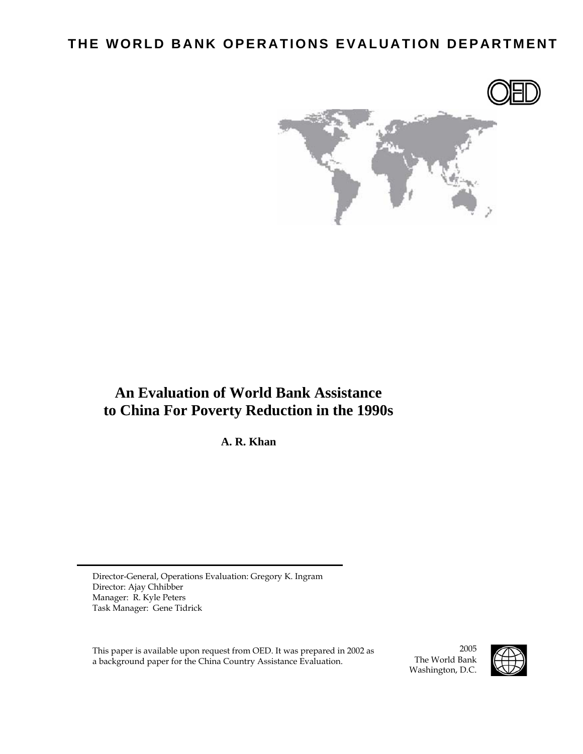## **THE WORLD BANK OPERATIONS EVALUATION DEPARTMENT**



## **An Evaluation of World Bank Assistance to China For Poverty Reduction in the 1990s**

**A. R. Khan**

Director-General, Operations Evaluation: Gregory K. Ingram Director: Ajay Chhibber Manager: R. Kyle Peters Task Manager: Gene Tidrick

This paper is available upon request from OED. It was prepared in 2002 as a background paper for the China Country Assistance Evaluation.

2005 The World Bank Washington, D.C.

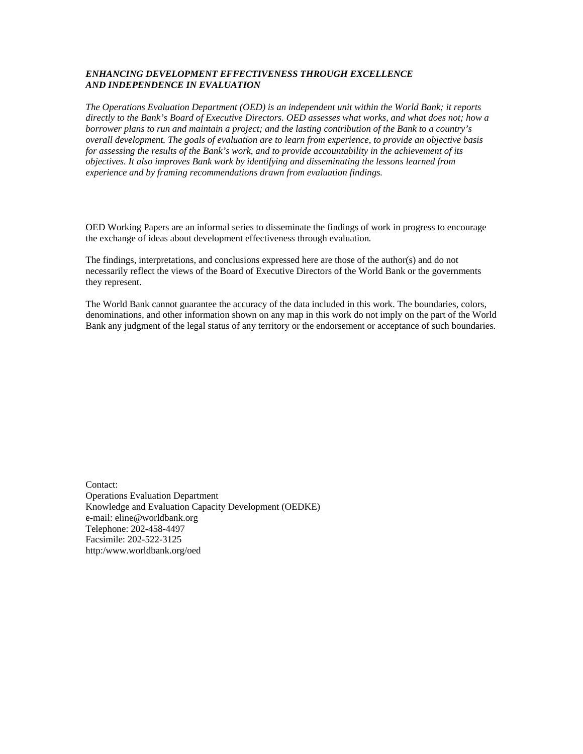#### *ENHANCING DEVELOPMENT EFFECTIVENESS THROUGH EXCELLENCE AND INDEPENDENCE IN EVALUATION*

*The Operations Evaluation Department (OED) is an independent unit within the World Bank; it reports directly to the Bank's Board of Executive Directors. OED assesses what works, and what does not; how a borrower plans to run and maintain a project; and the lasting contribution of the Bank to a country's overall development. The goals of evaluation are to learn from experience, to provide an objective basis for assessing the results of the Bank's work, and to provide accountability in the achievement of its objectives. It also improves Bank work by identifying and disseminating the lessons learned from experience and by framing recommendations drawn from evaluation findings.* 

OED Working Papers are an informal series to disseminate the findings of work in progress to encourage the exchange of ideas about development effectiveness through evaluation*.* 

The findings, interpretations, and conclusions expressed here are those of the author(s) and do not necessarily reflect the views of the Board of Executive Directors of the World Bank or the governments they represent.

The World Bank cannot guarantee the accuracy of the data included in this work. The boundaries, colors, denominations, and other information shown on any map in this work do not imply on the part of the World Bank any judgment of the legal status of any territory or the endorsement or acceptance of such boundaries.

Contact: Operations Evaluation Department Knowledge and Evaluation Capacity Development (OEDKE) e-mail: eline@worldbank.org Telephone: 202-458-4497 Facsimile: 202-522-3125 http:/www.worldbank.org/oed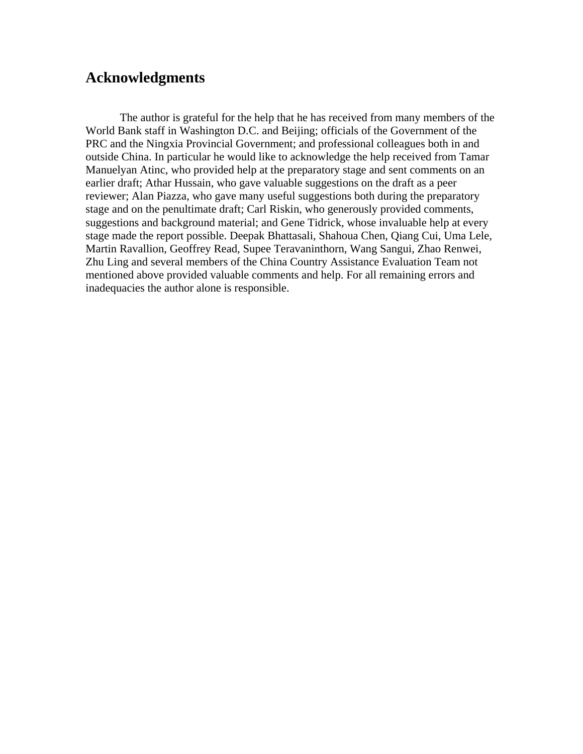## **Acknowledgments**

 The author is grateful for the help that he has received from many members of the World Bank staff in Washington D.C. and Beijing; officials of the Government of the PRC and the Ningxia Provincial Government; and professional colleagues both in and outside China. In particular he would like to acknowledge the help received from Tamar Manuelyan Atinc, who provided help at the preparatory stage and sent comments on an earlier draft; Athar Hussain, who gave valuable suggestions on the draft as a peer reviewer; Alan Piazza, who gave many useful suggestions both during the preparatory stage and on the penultimate draft; Carl Riskin, who generously provided comments, suggestions and background material; and Gene Tidrick, whose invaluable help at every stage made the report possible. Deepak Bhattasali, Shahoua Chen, Qiang Cui, Uma Lele, Martin Ravallion, Geoffrey Read, Supee Teravaninthorn, Wang Sangui, Zhao Renwei, Zhu Ling and several members of the China Country Assistance Evaluation Team not mentioned above provided valuable comments and help. For all remaining errors and inadequacies the author alone is responsible.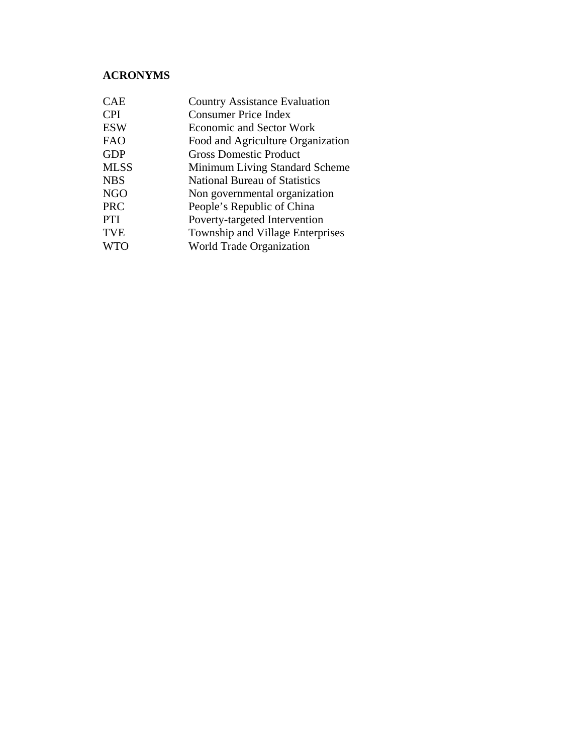## **ACRONYMS**

| <b>CPI</b><br><b>Consumer Price Index</b><br><b>ESW</b><br><b>Economic and Sector Work</b> |
|--------------------------------------------------------------------------------------------|
|                                                                                            |
|                                                                                            |
| <b>FAO</b><br>Food and Agriculture Organization                                            |
| <b>GDP</b><br><b>Gross Domestic Product</b>                                                |
| <b>MLSS</b><br>Minimum Living Standard Scheme                                              |
| <b>NBS</b><br><b>National Bureau of Statistics</b>                                         |
| <b>NGO</b><br>Non governmental organization                                                |
| <b>PRC</b><br>People's Republic of China                                                   |
| <b>PTI</b><br>Poverty-targeted Intervention                                                |
| <b>TVE</b><br>Township and Village Enterprises                                             |
| <b>World Trade Organization</b><br><b>WTO</b>                                              |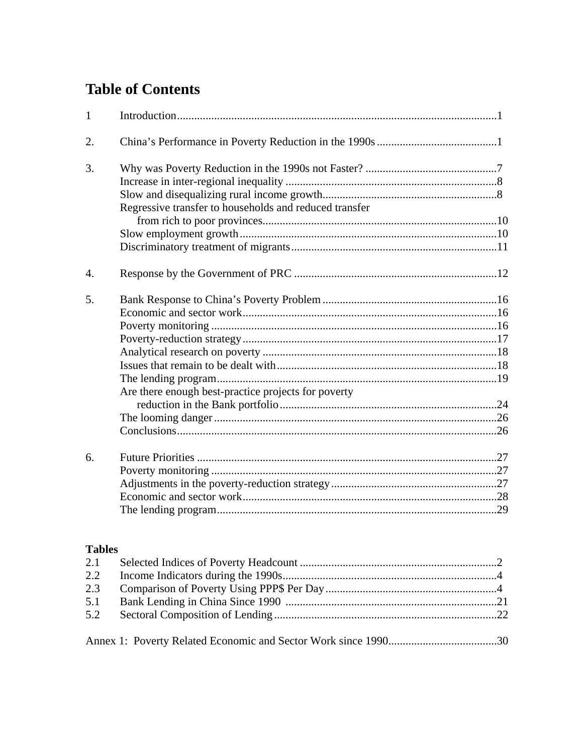# **Table of Contents**

| $\mathbf{1}$     |                                                        |  |
|------------------|--------------------------------------------------------|--|
| 2.               |                                                        |  |
| 3.               |                                                        |  |
|                  |                                                        |  |
|                  |                                                        |  |
|                  | Regressive transfer to households and reduced transfer |  |
|                  |                                                        |  |
|                  |                                                        |  |
|                  |                                                        |  |
| $\overline{4}$ . |                                                        |  |
| 5.               |                                                        |  |
|                  |                                                        |  |
|                  |                                                        |  |
|                  |                                                        |  |
|                  |                                                        |  |
|                  |                                                        |  |
|                  |                                                        |  |
|                  | Are there enough best-practice projects for poverty    |  |
|                  |                                                        |  |
|                  |                                                        |  |
|                  |                                                        |  |
| 6.               |                                                        |  |
|                  |                                                        |  |
|                  |                                                        |  |
|                  |                                                        |  |
|                  |                                                        |  |

### **Tables**

| $2.2^{\circ}$ |  |
|---------------|--|
|               |  |
|               |  |
|               |  |
|               |  |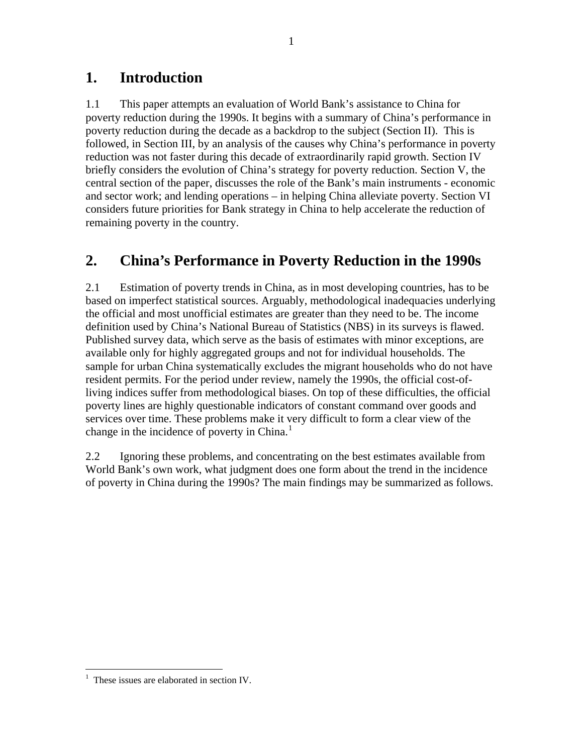## **1. Introduction**

1.1 This paper attempts an evaluation of World Bank's assistance to China for poverty reduction during the 1990s. It begins with a summary of China's performance in poverty reduction during the decade as a backdrop to the subject (Section II). This is followed, in Section III, by an analysis of the causes why China's performance in poverty reduction was not faster during this decade of extraordinarily rapid growth. Section IV briefly considers the evolution of China's strategy for poverty reduction. Section V, the central section of the paper, discusses the role of the Bank's main instruments - economic and sector work; and lending operations – in helping China alleviate poverty. Section VI considers future priorities for Bank strategy in China to help accelerate the reduction of remaining poverty in the country.

## **2. China's Performance in Poverty Reduction in the 1990s**

2.1 Estimation of poverty trends in China, as in most developing countries, has to be based on imperfect statistical sources. Arguably, methodological inadequacies underlying the official and most unofficial estimates are greater than they need to be. The income definition used by China's National Bureau of Statistics (NBS) in its surveys is flawed. Published survey data, which serve as the basis of estimates with minor exceptions, are available only for highly aggregated groups and not for individual households. The sample for urban China systematically excludes the migrant households who do not have resident permits. For the period under review, namely the 1990s, the official cost-ofliving indices suffer from methodological biases. On top of these difficulties, the official poverty lines are highly questionable indicators of constant command over goods and services over time. These problems make it very difficult to form a clear view of the change in the incidence of poverty in China.<sup>[1](#page-8-0)</sup>

2.2 Ignoring these problems, and concentrating on the best estimates available from World Bank's own work, what judgment does one form about the trend in the incidence of poverty in China during the 1990s? The main findings may be summarized as follows.

<span id="page-8-0"></span> $\overline{a}$ 1 These issues are elaborated in section IV.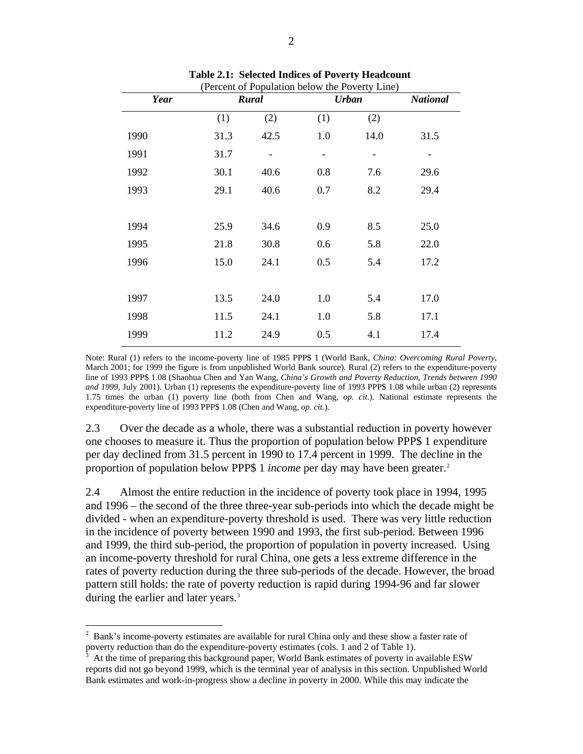| (Percent of Population below the Poverty Line) |       |                |              |                 |      |
|------------------------------------------------|-------|----------------|--------------|-----------------|------|
| <b>Year</b>                                    | Rural |                | <b>Urban</b> | <b>National</b> |      |
|                                                | (1)   | (2)            | (1)          | (2)             |      |
| 1990                                           | 31.3  | 42.5           | 1.0          | 14.0            | 31.5 |
| 1991                                           | 31.7  | $\overline{a}$ | -            | $\overline{a}$  | -    |
| 1992                                           | 30.1  | 40.6           | 0.8          | 7.6             | 29.6 |
| 1993                                           | 29.1  | 40.6           | 0.7          | 8.2             | 29.4 |
|                                                |       |                |              |                 |      |
| 1994                                           | 25.9  | 34.6           | 0.9          | 8.5             | 25.0 |
| 1995                                           | 21.8  | 30.8           | 0.6          | 5.8             | 22.0 |
| 1996                                           | 15.0  | 24.1           | 0.5          | 5.4             | 17.2 |
|                                                |       |                |              |                 |      |
| 1997                                           | 13.5  | 24.0           | 1.0          | 5.4             | 17.0 |
| 1998                                           | 11.5  | 24.1           | 1.0          | 5.8             | 17.1 |
| 1999                                           | 11.2  | 24.9           | 0.5          | 4.1             | 17.4 |
|                                                |       |                |              |                 |      |

**Table 2.1: Selected Indices of Poverty Headcount** 

Note: Rural (1) refers to the income-poverty line of 1985 PPP\$ 1 (World Bank, *China: Overcoming Rural Poverty,*  March 2001; for 1999 the figure is from unpublished World Bank source). Rural (2) refers to the expenditure-poverty line of 1993 PPP\$ 1.08 (Shaohua Chen and Yan Wang, *China's Growth and Poverty Reduction, Trends between 1990 and 1999*, July 2001). Urban (1) represents the expenditure-poverty line of 1993 PPP\$ 1.08 while urban (2) represents 1.75 times the urban (1) poverty line (both from Chen and Wang, *op. cit*.). National estimate represents the expenditure-poverty line of 1993 PPP\$ 1.08 (Chen and Wang, *op. cit.*).

2.3 Over the decade as a whole, there was a substantial reduction in poverty however one chooses to measure it. Thus the proportion of population below PPP\$ 1 expenditure per day declined from 31.5 percent in 1990 to 17.4 percent in 1999. The decline in the proportion of population below PPP\$ 1 *income* per day may have been greater.<sup>[2](#page-9-0)</sup>

2.4 Almost the entire reduction in the incidence of poverty took place in 1994, 1995 and 1996 – the second of the three three-year sub-periods into which the decade might be divided - when an expenditure-poverty threshold is used. There was very little reduction in the incidence of poverty between 1990 and 1993, the first sub-period. Between 1996 and 1999, the third sub-period, the proportion of population in poverty increased. Using an income-poverty threshold for rural China, one gets a less extreme difference in the rates of poverty reduction during the three sub-periods of the decade. However, the broad pattern still holds: the rate of poverty reduction is rapid during 1994-96 and far slower during the earlier and later years.<sup>[3](#page-9-1)</sup>

<span id="page-9-0"></span> $2$  Bank's income-poverty estimates are available for rural China only and these show a faster rate of poverty reduction than do the expenditure-poverty estimates (cols. 1 and 2 of Table 1).

<span id="page-9-1"></span>At the time of preparing this background paper, World Bank estimates of poverty in available ESW reports did not go beyond 1999, which is the terminal year of analysis in this section. Unpublished World Bank estimates and work-in-progress show a decline in poverty in 2000. While this may indicate the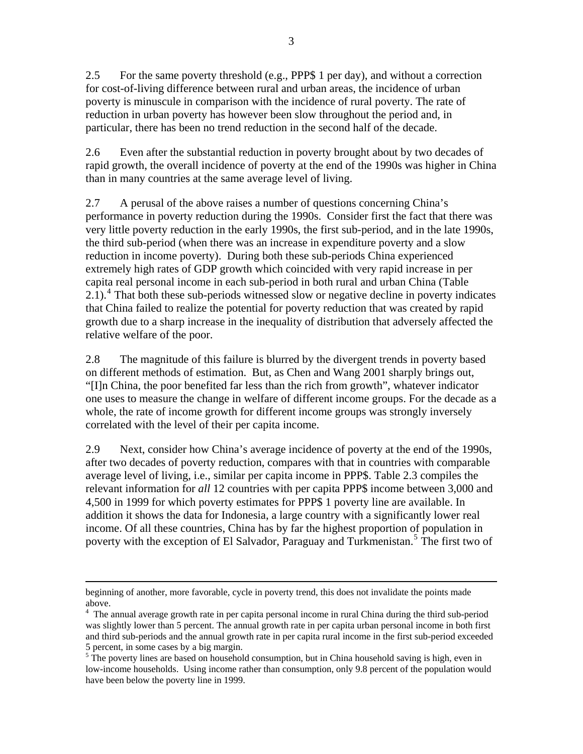2.5 For the same poverty threshold (e.g., PPP\$ 1 per day), and without a correction for cost-of-living difference between rural and urban areas, the incidence of urban poverty is minuscule in comparison with the incidence of rural poverty. The rate of reduction in urban poverty has however been slow throughout the period and, in particular, there has been no trend reduction in the second half of the decade.

2.6 Even after the substantial reduction in poverty brought about by two decades of rapid growth, the overall incidence of poverty at the end of the 1990s was higher in China than in many countries at the same average level of living.

2.7 A perusal of the above raises a number of questions concerning China's performance in poverty reduction during the 1990s. Consider first the fact that there was very little poverty reduction in the early 1990s, the first sub-period, and in the late 1990s, the third sub-period (when there was an increase in expenditure poverty and a slow reduction in income poverty). During both these sub-periods China experienced extremely high rates of GDP growth which coincided with very rapid increase in per capita real personal income in each sub-period in both rural and urban China (Table  $2.1$ ).<sup>[4](#page-10-0)</sup> That both these sub-periods witnessed slow or negative decline in poverty indicates that China failed to realize the potential for poverty reduction that was created by rapid growth due to a sharp increase in the inequality of distribution that adversely affected the relative welfare of the poor.

2.8 The magnitude of this failure is blurred by the divergent trends in poverty based on different methods of estimation. But, as Chen and Wang 2001 sharply brings out, "[I]n China, the poor benefited far less than the rich from growth", whatever indicator one uses to measure the change in welfare of different income groups. For the decade as a whole, the rate of income growth for different income groups was strongly inversely correlated with the level of their per capita income.

2.9 Next, consider how China's average incidence of poverty at the end of the 1990s, after two decades of poverty reduction, compares with that in countries with comparable average level of living, i.e., similar per capita income in PPP\$. Table 2.3 compiles the relevant information for *all* 12 countries with per capita PPP\$ income between 3,000 and 4,500 in 1999 for which poverty estimates for PPP\$ 1 poverty line are available. In addition it shows the data for Indonesia, a large country with a significantly lower real income. Of all these countries, China has by far the highest proportion of population in poverty with the exception of El Salvador, Paraguay and Turkmenistan.<sup>[5](#page-10-1)</sup> The first two of

beginning of another, more favorable, cycle in poverty trend, this does not invalidate the points made above.

<span id="page-10-0"></span><sup>&</sup>lt;sup>4</sup> The annual average growth rate in per capita personal income in rural China during the third sub-period was slightly lower than 5 percent. The annual growth rate in per capita urban personal income in both first and third sub-periods and the annual growth rate in per capita rural income in the first sub-period exceeded

<span id="page-10-1"></span><sup>5</sup> percent, in some cases by a big margin.<br><sup>5</sup> The poverty lines are based on household consumption, but in China household saving is high, even in low-income households. Using income rather than consumption, only 9.8 percent of the population would have been below the poverty line in 1999.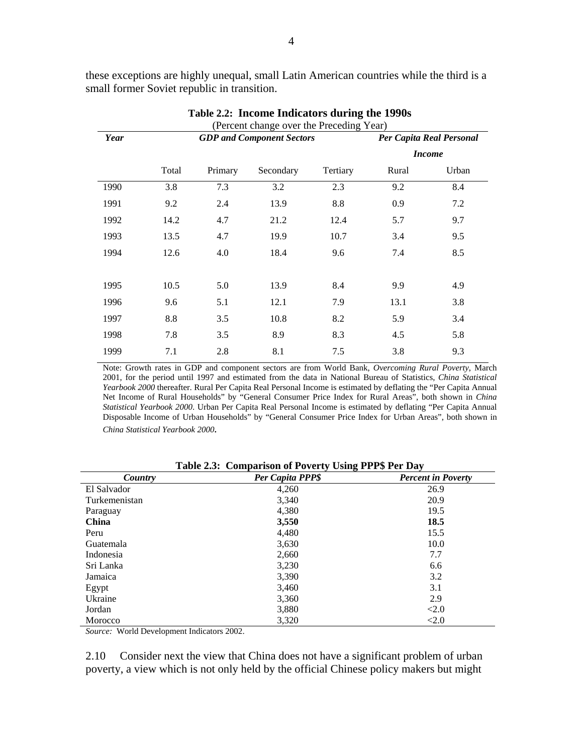|      | (Percent change over the Preceding Year) |         |                                  |          |                          |               |  |  |
|------|------------------------------------------|---------|----------------------------------|----------|--------------------------|---------------|--|--|
| Year |                                          |         | <b>GDP</b> and Component Sectors |          | Per Capita Real Personal |               |  |  |
|      |                                          |         |                                  |          |                          | <b>Income</b> |  |  |
|      | Total                                    | Primary | Secondary                        | Tertiary | Rural                    | Urban         |  |  |
| 1990 | 3.8                                      | 7.3     | 3.2                              | 2.3      | 9.2                      | 8.4           |  |  |
| 1991 | 9.2                                      | 2.4     | 13.9                             | 8.8      | 0.9                      | 7.2           |  |  |
| 1992 | 14.2                                     | 4.7     | 21.2                             | 12.4     | 5.7                      | 9.7           |  |  |
| 1993 | 13.5                                     | 4.7     | 19.9                             | 10.7     | 3.4                      | 9.5           |  |  |
| 1994 | 12.6                                     | 4.0     | 18.4                             | 9.6      | 7.4                      | 8.5           |  |  |
|      |                                          |         |                                  |          |                          |               |  |  |
| 1995 | 10.5                                     | 5.0     | 13.9                             | 8.4      | 9.9                      | 4.9           |  |  |
| 1996 | 9.6                                      | 5.1     | 12.1                             | 7.9      | 13.1                     | 3.8           |  |  |
| 1997 | 8.8                                      | 3.5     | 10.8                             | 8.2      | 5.9                      | 3.4           |  |  |
| 1998 | 7.8                                      | 3.5     | 8.9                              | 8.3      | 4.5                      | 5.8           |  |  |
| 1999 | 7.1                                      | 2.8     | 8.1                              | 7.5      | 3.8                      | 9.3           |  |  |

these exceptions are highly unequal, small Latin American countries while the third is a small former Soviet republic in transition.

**Table 2.2: Income Indicators during the 1990s** 

Note: Growth rates in GDP and component sectors are from World Bank, *Overcoming Rural Poverty*, March 2001, for the period until 1997 and estimated from the data in National Bureau of Statistics, *China Statistical Yearbook 2000* thereafter. Rural Per Capita Real Personal Income is estimated by deflating the "Per Capita Annual Net Income of Rural Households" by "General Consumer Price Index for Rural Areas", both shown in *China Statistical Yearbook 2000*. Urban Per Capita Real Personal Income is estimated by deflating "Per Capita Annual Disposable Income of Urban Households" by "General Consumer Price Index for Urban Areas", both shown in *China Statistical Yearbook 2000.*

| Country       | $\overline{\phantom{a}}$<br>o<br>Per Capita PPP\$ | <b>Percent in Poverty</b> |
|---------------|---------------------------------------------------|---------------------------|
| El Salvador   | 4,260                                             | 26.9                      |
| Turkemenistan | 3,340                                             | 20.9                      |
| Paraguay      | 4,380                                             | 19.5                      |
| <b>China</b>  | 3,550                                             | 18.5                      |
| Peru          | 4,480                                             | 15.5                      |
| Guatemala     | 3,630                                             | 10.0                      |
| Indonesia     | 2,660                                             | 7.7                       |
| Sri Lanka     | 3,230                                             | 6.6                       |
| Jamaica       | 3,390                                             | 3.2                       |
| Egypt         | 3,460                                             | 3.1                       |
| Ukraine       | 3,360                                             | 2.9                       |
| Jordan        | 3,880                                             | <2.0                      |
| Morocco       | 3,320                                             | < 2.0                     |

**Table 2.3: Comparison of Poverty Using PPP\$ Per Day** 

*Source:* World Development Indicators 2002.

2.10 Consider next the view that China does not have a significant problem of urban poverty, a view which is not only held by the official Chinese policy makers but might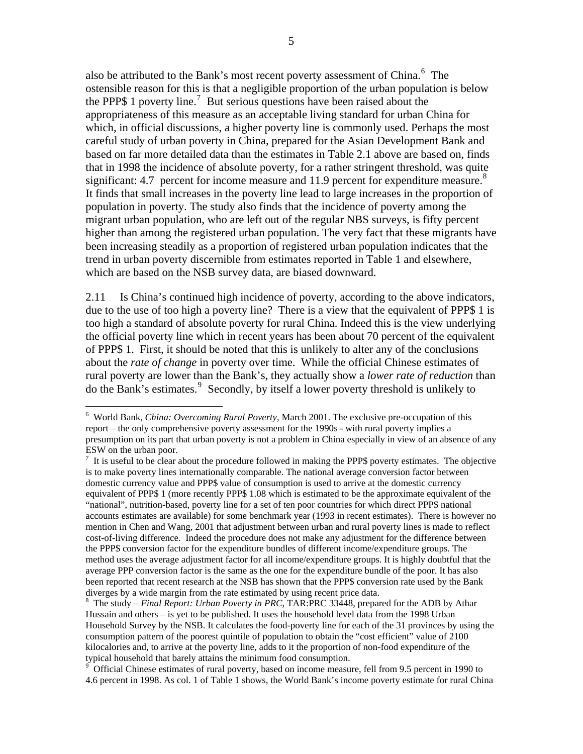also be attributed to the Bank's most recent poverty assessment of China.<sup>[6](#page-12-0)</sup> The ostensible reason for this is that a negligible proportion of the urban population is below the PPP\$ 1 poverty line.<sup>[7](#page-12-1)</sup> But serious questions have been raised about the appropriateness of this measure as an acceptable living standard for urban China for which, in official discussions, a higher poverty line is commonly used. Perhaps the most careful study of urban poverty in China, prepared for the Asian Development Bank and based on far more detailed data than the estimates in Table 2.1 above are based on, finds that in 1998 the incidence of absolute poverty, for a rather stringent threshold, was quite significant: 4.7 percent for income measure and 11.9 percent for expenditure measure.<sup>[8](#page-12-2)</sup> It finds that small increases in the poverty line lead to large increases in the proportion of population in poverty. The study also finds that the incidence of poverty among the migrant urban population, who are left out of the regular NBS surveys, is fifty percent higher than among the registered urban population. The very fact that these migrants have been increasing steadily as a proportion of registered urban population indicates that the trend in urban poverty discernible from estimates reported in Table 1 and elsewhere, which are based on the NSB survey data, are biased downward.

2.11 Is China's continued high incidence of poverty, according to the above indicators, due to the use of too high a poverty line? There is a view that the equivalent of PPP\$ 1 is too high a standard of absolute poverty for rural China. Indeed this is the view underlying the official poverty line which in recent years has been about 70 percent of the equivalent of PPP\$ 1. First, it should be noted that this is unlikely to alter any of the conclusions about the *rate of change* in poverty over time. While the official Chinese estimates of rural poverty are lower than the Bank's, they actually show a *lower rate of reduction* than do the Bank's estimates.<sup>[9](#page-12-3)</sup> Secondly, by itself a lower poverty threshold is unlikely to

<span id="page-12-0"></span><sup>6</sup> World Bank, *China: Overcoming Rural Poverty*, March 2001. The exclusive pre-occupation of this report – the only comprehensive poverty assessment for the 1990s - with rural poverty implies a presumption on its part that urban poverty is not a problem in China especially in view of an absence of any ESW on the urban poor.

<span id="page-12-1"></span> $<sup>7</sup>$  It is useful to be clear about the procedure followed in making the PPP\$ poverty estimates. The objective</sup> is to make poverty lines internationally comparable. The national average conversion factor between domestic currency value and PPP\$ value of consumption is used to arrive at the domestic currency equivalent of PPP\$ 1 (more recently PPP\$ 1.08 which is estimated to be the approximate equivalent of the "national", nutrition-based, poverty line for a set of ten poor countries for which direct PPP\$ national accounts estimates are available) for some benchmark year (1993 in recent estimates). There is however no mention in Chen and Wang, 2001 that adjustment between urban and rural poverty lines is made to reflect cost-of-living difference. Indeed the procedure does not make any adjustment for the difference between the PPP\$ conversion factor for the expenditure bundles of different income/expenditure groups. The method uses the average adjustment factor for all income/expenditure groups. It is highly doubtful that the average PPP conversion factor is the same as the one for the expenditure bundle of the poor. It has also been reported that recent research at the NSB has shown that the PPP\$ conversion rate used by the Bank diverges by a wide margin from the rate estimated by using recent price data.

<span id="page-12-2"></span>The study – *Final Report: Urban Poverty in PRC*, TAR:PRC 33448, prepared for the ADB by Athar Hussain and others – is yet to be published. It uses the household level data from the 1998 Urban Household Survey by the NSB. It calculates the food-poverty line for each of the 31 provinces by using the consumption pattern of the poorest quintile of population to obtain the "cost efficient" value of 2100 kilocalories and, to arrive at the poverty line, adds to it the proportion of non-food expenditure of the typical household that barely attains the minimum food consumption.

<span id="page-12-3"></span><sup>&</sup>lt;sup>9</sup> Official Chinese estimates of rural poverty, based on income measure, fell from 9.5 percent in 1990 to 4.6 percent in 1998. As col. 1 of Table 1 shows, the World Bank's income poverty estimate for rural China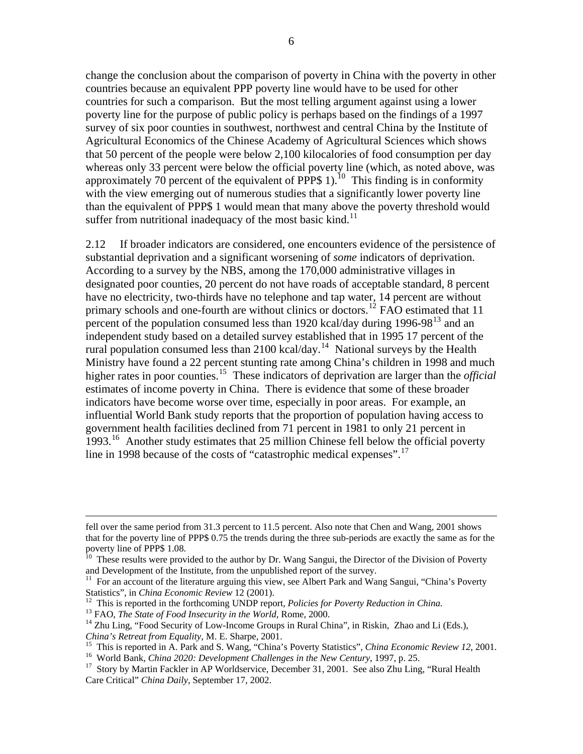change the conclusion about the comparison of poverty in China with the poverty in other countries because an equivalent PPP poverty line would have to be used for other countries for such a comparison. But the most telling argument against using a lower poverty line for the purpose of public policy is perhaps based on the findings of a 1997 survey of six poor counties in southwest, northwest and central China by the Institute of Agricultural Economics of the Chinese Academy of Agricultural Sciences which shows that 50 percent of the people were below 2,100 kilocalories of food consumption per day whereas only 33 percent were below the official poverty line (which, as noted above, was approximately 70 percent of the equivalent of PPP\$ 1).<sup>[10](#page-13-0)</sup> This finding is in conformity with the view emerging out of numerous studies that a significantly lower poverty line than the equivalent of PPP\$ 1 would mean that many above the poverty threshold would suffer from nutritional inadequacy of the most basic kind.<sup>[11](#page-13-1)</sup>

2.12 If broader indicators are considered, one encounters evidence of the persistence of substantial deprivation and a significant worsening of *some* indicators of deprivation. According to a survey by the NBS, among the 170,000 administrative villages in designated poor counties, 20 percent do not have roads of acceptable standard, 8 percent have no electricity, two-thirds have no telephone and tap water, 14 percent are without primary schools and one-fourth are without clinics or doctors.<sup>[12](#page-13-2)</sup> FAO estimated that 11 percent of the population consumed less than 1920 kcal/day during 1996-98<sup>[13](#page-13-3)</sup> and an independent study based on a detailed survey established that in 1995 17 percent of the rural population consumed less than 2100 kcal/day.<sup>[14](#page-13-4)</sup> National surveys by the Health Ministry have found a 22 percent stunting rate among China's children in 1998 and much higher rates in poor counties.<sup>[15](#page-13-5)</sup> These indicators of deprivation are larger than the *official* estimates of income poverty in China. There is evidence that some of these broader indicators have become worse over time, especially in poor areas. For example, an influential World Bank study reports that the proportion of population having access to government health facilities declined from 71 percent in 1981 to only 21 percent in 1993.<sup>[16](#page-13-6)</sup> Another study estimates that 25 million Chinese fell below the official poverty line in 1998 because of the costs of "catastrophic medical expenses".<sup>[17](#page-13-7)</sup>

fell over the same period from 31.3 percent to 11.5 percent. Also note that Chen and Wang, 2001 shows that for the poverty line of PPP\$ 0.75 the trends during the three sub-periods are exactly the same as for the poverty line of PPP\$ 1.08.

<span id="page-13-0"></span><sup>&</sup>lt;sup>10</sup> These results were provided to the author by Dr. Wang Sangui, the Director of the Division of Poverty and Development of the Institute, from the unpublished report of the survey.

<span id="page-13-1"></span><sup>&</sup>lt;sup>11</sup> For an account of the literature arguing this view, see Albert Park and Wang Sangui, "China's Poverty Statistics", in *China Economic Review* 12 (2001).

<span id="page-13-4"></span>

<span id="page-13-3"></span><span id="page-13-2"></span><sup>&</sup>lt;sup>12</sup> This is reported in the forthcoming UNDP report, *Policies for Poverty Reduction in China*.<br><sup>13</sup> FAO, *The State of Food Insecurity in the World*, Rome, 2000.<br><sup>14</sup> Zhu Ling, "Food Security of Low-Income Groups in Rur

<span id="page-13-6"></span><span id="page-13-5"></span><sup>&</sup>lt;sup>15</sup> This is reported in A. Park and S. Wang, "China's Poverty Statistics", *China Economic Review 12*, 2001.<br><sup>16</sup> World Bank, *China 2020: Development Challenges in the New Century*, 1997, p. 25.<br><sup>17</sup> Story by Martin Fac

<span id="page-13-7"></span>Care Critical" *China Daily*, September 17, 2002.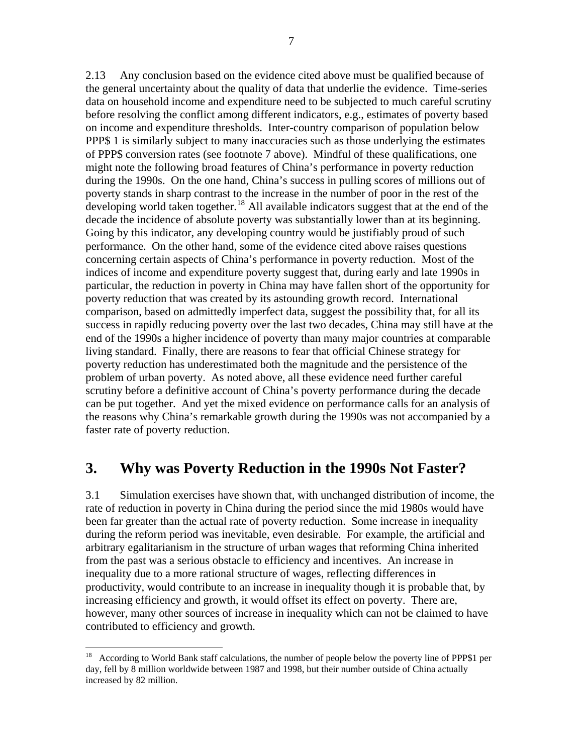2.13 Any conclusion based on the evidence cited above must be qualified because of the general uncertainty about the quality of data that underlie the evidence. Time-series data on household income and expenditure need to be subjected to much careful scrutiny before resolving the conflict among different indicators, e.g., estimates of poverty based on income and expenditure thresholds. Inter-country comparison of population below PPP\$ 1 is similarly subject to many inaccuracies such as those underlying the estimates of PPP\$ conversion rates (see footnote 7 above). Mindful of these qualifications, one might note the following broad features of China's performance in poverty reduction during the 1990s. On the one hand, China's success in pulling scores of millions out of poverty stands in sharp contrast to the increase in the number of poor in the rest of the developing world taken together.<sup>[18](#page-14-0)</sup> All available indicators suggest that at the end of the decade the incidence of absolute poverty was substantially lower than at its beginning. Going by this indicator, any developing country would be justifiably proud of such performance. On the other hand, some of the evidence cited above raises questions concerning certain aspects of China's performance in poverty reduction. Most of the indices of income and expenditure poverty suggest that, during early and late 1990s in particular, the reduction in poverty in China may have fallen short of the opportunity for poverty reduction that was created by its astounding growth record. International comparison, based on admittedly imperfect data, suggest the possibility that, for all its success in rapidly reducing poverty over the last two decades, China may still have at the end of the 1990s a higher incidence of poverty than many major countries at comparable living standard. Finally, there are reasons to fear that official Chinese strategy for poverty reduction has underestimated both the magnitude and the persistence of the problem of urban poverty. As noted above, all these evidence need further careful scrutiny before a definitive account of China's poverty performance during the decade can be put together. And yet the mixed evidence on performance calls for an analysis of the reasons why China's remarkable growth during the 1990s was not accompanied by a faster rate of poverty reduction.

## **3. Why was Poverty Reduction in the 1990s Not Faster?**

3.1 Simulation exercises have shown that, with unchanged distribution of income, the rate of reduction in poverty in China during the period since the mid 1980s would have been far greater than the actual rate of poverty reduction. Some increase in inequality during the reform period was inevitable, even desirable. For example, the artificial and arbitrary egalitarianism in the structure of urban wages that reforming China inherited from the past was a serious obstacle to efficiency and incentives. An increase in inequality due to a more rational structure of wages, reflecting differences in productivity, would contribute to an increase in inequality though it is probable that, by increasing efficiency and growth, it would offset its effect on poverty. There are, however, many other sources of increase in inequality which can not be claimed to have contributed to efficiency and growth.

<span id="page-14-0"></span><sup>&</sup>lt;sup>18</sup> According to World Bank staff calculations, the number of people below the poverty line of PPP\$1 per day, fell by 8 million worldwide between 1987 and 1998, but their number outside of China actually increased by 82 million.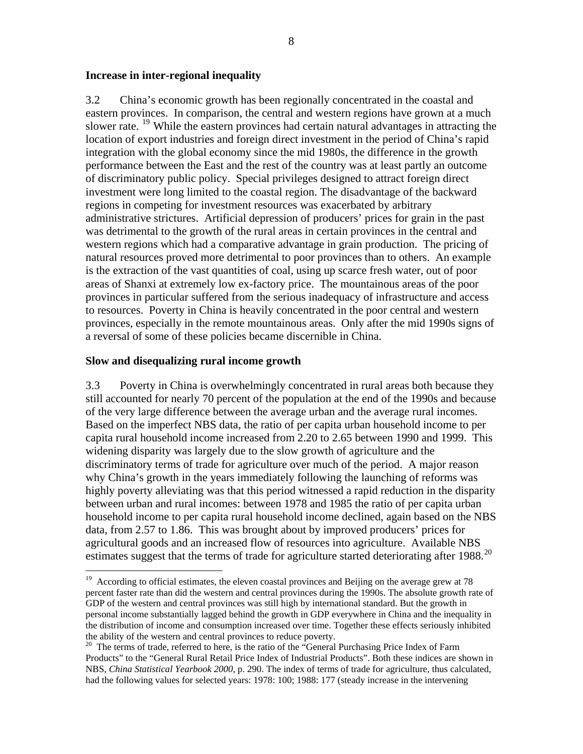#### **Increase in inter-regional inequality**

3.2 China's economic growth has been regionally concentrated in the coastal and eastern provinces. In comparison, the central and western regions have grown at a much slower rate. <sup>[19](#page-15-0)</sup> While the eastern provinces had certain natural advantages in attracting the location of export industries and foreign direct investment in the period of China's rapid integration with the global economy since the mid 1980s, the difference in the growth performance between the East and the rest of the country was at least partly an outcome of discriminatory public policy. Special privileges designed to attract foreign direct investment were long limited to the coastal region. The disadvantage of the backward regions in competing for investment resources was exacerbated by arbitrary administrative strictures. Artificial depression of producers' prices for grain in the past was detrimental to the growth of the rural areas in certain provinces in the central and western regions which had a comparative advantage in grain production. The pricing of natural resources proved more detrimental to poor provinces than to others. An example is the extraction of the vast quantities of coal, using up scarce fresh water, out of poor areas of Shanxi at extremely low ex-factory price. The mountainous areas of the poor provinces in particular suffered from the serious inadequacy of infrastructure and access to resources. Poverty in China is heavily concentrated in the poor central and western provinces, especially in the remote mountainous areas. Only after the mid 1990s signs of a reversal of some of these policies became discernible in China.

#### **Slow and disequalizing rural income growth**

1

3.3 Poverty in China is overwhelmingly concentrated in rural areas both because they still accounted for nearly 70 percent of the population at the end of the 1990s and because of the very large difference between the average urban and the average rural incomes. Based on the imperfect NBS data, the ratio of per capita urban household income to per capita rural household income increased from 2.20 to 2.65 between 1990 and 1999. This widening disparity was largely due to the slow growth of agriculture and the discriminatory terms of trade for agriculture over much of the period. A major reason why China's growth in the years immediately following the launching of reforms was highly poverty alleviating was that this period witnessed a rapid reduction in the disparity between urban and rural incomes: between 1978 and 1985 the ratio of per capita urban household income to per capita rural household income declined, again based on the NBS data, from 2.57 to 1.86. This was brought about by improved producers' prices for agricultural goods and an increased flow of resources into agriculture. Available NBS estimates suggest that the terms of trade for agriculture started deteriorating after 1988.<sup>[20](#page-15-1)</sup>

<span id="page-15-0"></span><sup>&</sup>lt;sup>19</sup> According to official estimates, the eleven coastal provinces and Beijing on the average grew at 78 percent faster rate than did the western and central provinces during the 1990s. The absolute growth rate of GDP of the western and central provinces was still high by international standard. But the growth in personal income substantially lagged behind the growth in GDP everywhere in China and the inequality in the distribution of income and consumption increased over time. Together these effects seriously inhibited the ability of the western and central provinces to reduce poverty.

<span id="page-15-1"></span> $20$  The terms of trade, referred to here, is the ratio of the "General Purchasing Price Index of Farm Products" to the "General Rural Retail Price Index of Industrial Products". Both these indices are shown in NBS, *China Statistical Yearbook 2000*, p. 290. The index of terms of trade for agriculture, thus calculated, had the following values for selected years: 1978: 100; 1988: 177 (steady increase in the intervening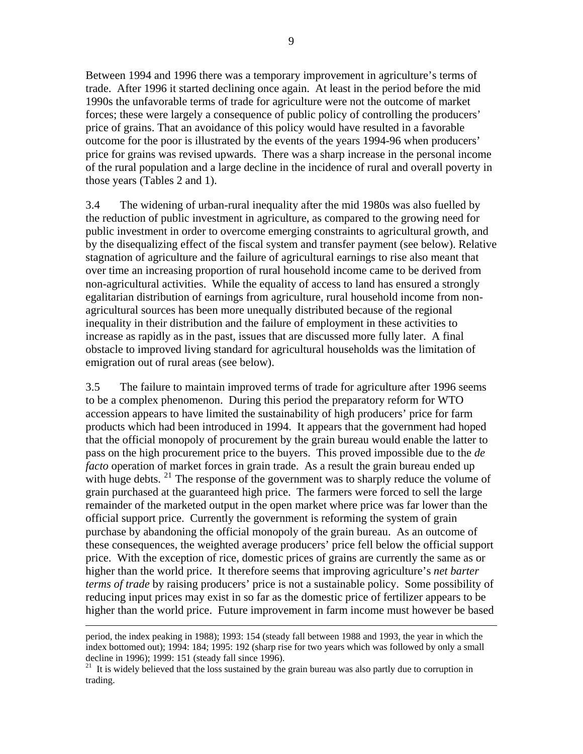Between 1994 and 1996 there was a temporary improvement in agriculture's terms of trade. After 1996 it started declining once again. At least in the period before the mid 1990s the unfavorable terms of trade for agriculture were not the outcome of market forces; these were largely a consequence of public policy of controlling the producers' price of grains. That an avoidance of this policy would have resulted in a favorable outcome for the poor is illustrated by the events of the years 1994-96 when producers' price for grains was revised upwards. There was a sharp increase in the personal income of the rural population and a large decline in the incidence of rural and overall poverty in those years (Tables 2 and 1).

3.4 The widening of urban-rural inequality after the mid 1980s was also fuelled by the reduction of public investment in agriculture, as compared to the growing need for public investment in order to overcome emerging constraints to agricultural growth, and by the disequalizing effect of the fiscal system and transfer payment (see below). Relative stagnation of agriculture and the failure of agricultural earnings to rise also meant that over time an increasing proportion of rural household income came to be derived from non-agricultural activities. While the equality of access to land has ensured a strongly egalitarian distribution of earnings from agriculture, rural household income from nonagricultural sources has been more unequally distributed because of the regional inequality in their distribution and the failure of employment in these activities to increase as rapidly as in the past, issues that are discussed more fully later. A final obstacle to improved living standard for agricultural households was the limitation of emigration out of rural areas (see below).

3.5 The failure to maintain improved terms of trade for agriculture after 1996 seems to be a complex phenomenon. During this period the preparatory reform for WTO accession appears to have limited the sustainability of high producers' price for farm products which had been introduced in 1994. It appears that the government had hoped that the official monopoly of procurement by the grain bureau would enable the latter to pass on the high procurement price to the buyers. This proved impossible due to the *de facto* operation of market forces in grain trade. As a result the grain bureau ended up with huge debts.  $^{21}$  $^{21}$  $^{21}$  The response of the government was to sharply reduce the volume of grain purchased at the guaranteed high price. The farmers were forced to sell the large remainder of the marketed output in the open market where price was far lower than the official support price. Currently the government is reforming the system of grain purchase by abandoning the official monopoly of the grain bureau. As an outcome of these consequences, the weighted average producers' price fell below the official support price. With the exception of rice, domestic prices of grains are currently the same as or higher than the world price. It therefore seems that improving agriculture's *net barter terms of trade* by raising producers' price is not a sustainable policy. Some possibility of reducing input prices may exist in so far as the domestic price of fertilizer appears to be higher than the world price. Future improvement in farm income must however be based

period, the index peaking in 1988); 1993: 154 (steady fall between 1988 and 1993, the year in which the index bottomed out); 1994: 184; 1995: 192 (sharp rise for two years which was followed by only a small decline in 1996); 1999: 151 (steady fall since 1996).

<span id="page-16-0"></span><sup>&</sup>lt;sup>21</sup> It is widely believed that the loss sustained by the grain bureau was also partly due to corruption in trading.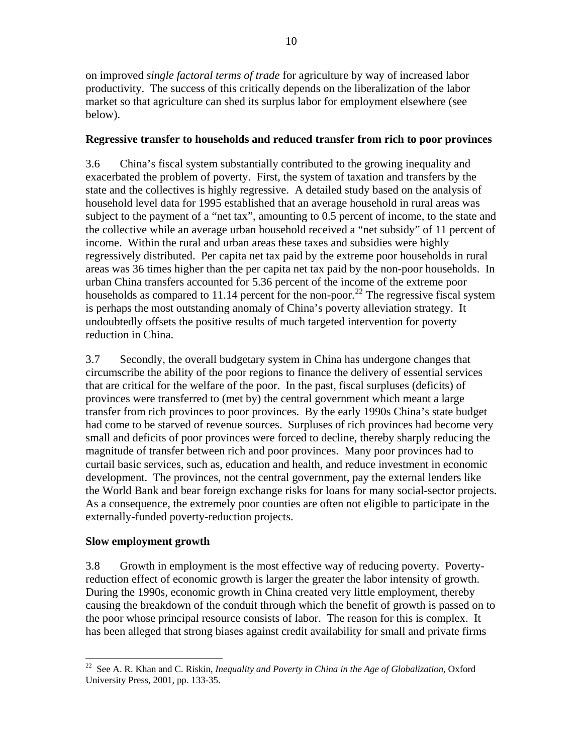on improved *single factoral terms of trade* for agriculture by way of increased labor productivity. The success of this critically depends on the liberalization of the labor market so that agriculture can shed its surplus labor for employment elsewhere (see below).

#### **Regressive transfer to households and reduced transfer from rich to poor provinces**

3.6 China's fiscal system substantially contributed to the growing inequality and exacerbated the problem of poverty. First, the system of taxation and transfers by the state and the collectives is highly regressive. A detailed study based on the analysis of household level data for 1995 established that an average household in rural areas was subject to the payment of a "net tax", amounting to 0.5 percent of income, to the state and the collective while an average urban household received a "net subsidy" of 11 percent of income. Within the rural and urban areas these taxes and subsidies were highly regressively distributed. Per capita net tax paid by the extreme poor households in rural areas was 36 times higher than the per capita net tax paid by the non-poor households. In urban China transfers accounted for 5.36 percent of the income of the extreme poor households as compared to 11.14 percent for the non-poor.<sup>[22](#page-17-0)</sup> The regressive fiscal system is perhaps the most outstanding anomaly of China's poverty alleviation strategy. It undoubtedly offsets the positive results of much targeted intervention for poverty reduction in China.

3.7 Secondly, the overall budgetary system in China has undergone changes that circumscribe the ability of the poor regions to finance the delivery of essential services that are critical for the welfare of the poor. In the past, fiscal surpluses (deficits) of provinces were transferred to (met by) the central government which meant a large transfer from rich provinces to poor provinces. By the early 1990s China's state budget had come to be starved of revenue sources. Surpluses of rich provinces had become very small and deficits of poor provinces were forced to decline, thereby sharply reducing the magnitude of transfer between rich and poor provinces. Many poor provinces had to curtail basic services, such as, education and health, and reduce investment in economic development. The provinces, not the central government, pay the external lenders like the World Bank and bear foreign exchange risks for loans for many social-sector projects. As a consequence, the extremely poor counties are often not eligible to participate in the externally-funded poverty-reduction projects.

### **Slow employment growth**

3.8 Growth in employment is the most effective way of reducing poverty. Povertyreduction effect of economic growth is larger the greater the labor intensity of growth. During the 1990s, economic growth in China created very little employment, thereby causing the breakdown of the conduit through which the benefit of growth is passed on to the poor whose principal resource consists of labor. The reason for this is complex. It has been alleged that strong biases against credit availability for small and private firms

<span id="page-17-0"></span> $\overline{a}$ 22 See A. R. Khan and C. Riskin, *Inequality and Poverty in China in the Age of Globalization*, Oxford University Press, 2001, pp. 133-35.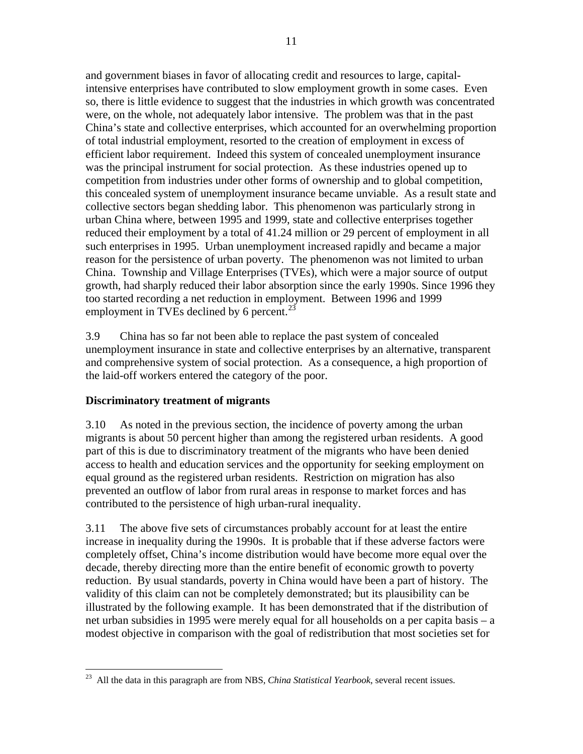and government biases in favor of allocating credit and resources to large, capitalintensive enterprises have contributed to slow employment growth in some cases. Even so, there is little evidence to suggest that the industries in which growth was concentrated were, on the whole, not adequately labor intensive. The problem was that in the past China's state and collective enterprises, which accounted for an overwhelming proportion of total industrial employment, resorted to the creation of employment in excess of efficient labor requirement. Indeed this system of concealed unemployment insurance was the principal instrument for social protection. As these industries opened up to competition from industries under other forms of ownership and to global competition, this concealed system of unemployment insurance became unviable. As a result state and collective sectors began shedding labor. This phenomenon was particularly strong in urban China where, between 1995 and 1999, state and collective enterprises together reduced their employment by a total of 41.24 million or 29 percent of employment in all such enterprises in 1995. Urban unemployment increased rapidly and became a major reason for the persistence of urban poverty. The phenomenon was not limited to urban China. Township and Village Enterprises (TVEs), which were a major source of output growth, had sharply reduced their labor absorption since the early 1990s. Since 1996 they too started recording a net reduction in employment. Between 1996 and 1999 employment in TVEs declined by 6 percent.<sup>[23](#page-18-0)</sup>

3.9 China has so far not been able to replace the past system of concealed unemployment insurance in state and collective enterprises by an alternative, transparent and comprehensive system of social protection. As a consequence, a high proportion of the laid-off workers entered the category of the poor.

### **Discriminatory treatment of migrants**

 $\overline{a}$ 

3.10 As noted in the previous section, the incidence of poverty among the urban migrants is about 50 percent higher than among the registered urban residents. A good part of this is due to discriminatory treatment of the migrants who have been denied access to health and education services and the opportunity for seeking employment on equal ground as the registered urban residents. Restriction on migration has also prevented an outflow of labor from rural areas in response to market forces and has contributed to the persistence of high urban-rural inequality.

3.11 The above five sets of circumstances probably account for at least the entire increase in inequality during the 1990s. It is probable that if these adverse factors were completely offset, China's income distribution would have become more equal over the decade, thereby directing more than the entire benefit of economic growth to poverty reduction. By usual standards, poverty in China would have been a part of history. The validity of this claim can not be completely demonstrated; but its plausibility can be illustrated by the following example. It has been demonstrated that if the distribution of net urban subsidies in 1995 were merely equal for all households on a per capita basis – a modest objective in comparison with the goal of redistribution that most societies set for

<span id="page-18-0"></span><sup>23</sup> All the data in this paragraph are from NBS, *China Statistical Yearbook*, several recent issues.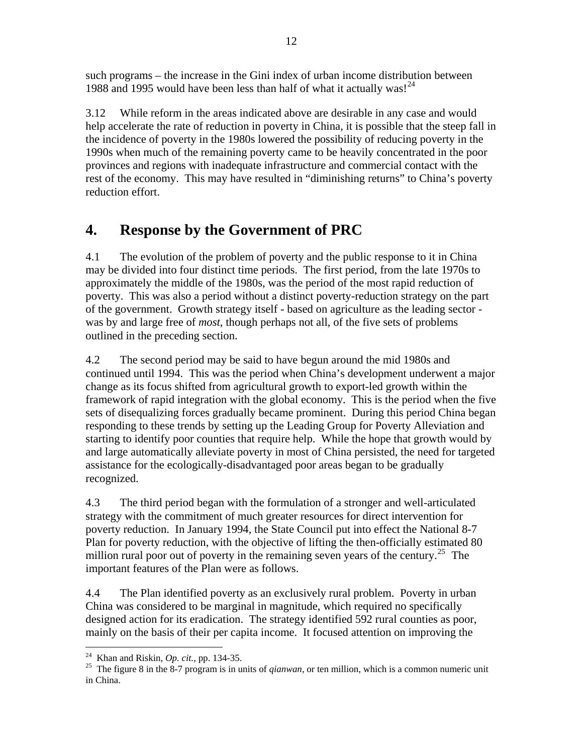such programs – the increase in the Gini index of urban income distribution between 1988 and 1995 would have been less than half of what it actually was!<sup>[24](#page-19-0)</sup>

3.12 While reform in the areas indicated above are desirable in any case and would help accelerate the rate of reduction in poverty in China, it is possible that the steep fall in the incidence of poverty in the 1980s lowered the possibility of reducing poverty in the 1990s when much of the remaining poverty came to be heavily concentrated in the poor provinces and regions with inadequate infrastructure and commercial contact with the rest of the economy. This may have resulted in "diminishing returns" to China's poverty reduction effort.

## **4. Response by the Government of PRC**

4.1 The evolution of the problem of poverty and the public response to it in China may be divided into four distinct time periods. The first period, from the late 1970s to approximately the middle of the 1980s, was the period of the most rapid reduction of poverty. This was also a period without a distinct poverty-reduction strategy on the part of the government. Growth strategy itself - based on agriculture as the leading sector was by and large free of *most*, though perhaps not all, of the five sets of problems outlined in the preceding section.

4.2 The second period may be said to have begun around the mid 1980s and continued until 1994. This was the period when China's development underwent a major change as its focus shifted from agricultural growth to export-led growth within the framework of rapid integration with the global economy. This is the period when the five sets of disequalizing forces gradually became prominent. During this period China began responding to these trends by setting up the Leading Group for Poverty Alleviation and starting to identify poor counties that require help. While the hope that growth would by and large automatically alleviate poverty in most of China persisted, the need for targeted assistance for the ecologically-disadvantaged poor areas began to be gradually recognized.

4.3 The third period began with the formulation of a stronger and well-articulated strategy with the commitment of much greater resources for direct intervention for poverty reduction. In January 1994, the State Council put into effect the National 8-7 Plan for poverty reduction, with the objective of lifting the then-officially estimated 80 million rural poor out of poverty in the remaining seven years of the century.<sup>[25](#page-19-1)</sup> The important features of the Plan were as follows.

4.4 The Plan identified poverty as an exclusively rural problem. Poverty in urban China was considered to be marginal in magnitude, which required no specifically designed action for its eradication. The strategy identified 592 rural counties as poor, mainly on the basis of their per capita income. It focused attention on improving the

<span id="page-19-0"></span><sup>&</sup>lt;sup>24</sup> Khan and Riskin, *Op. cit.*, pp. 134-35.

<span id="page-19-1"></span><sup>&</sup>lt;sup>25</sup> The figure 8 in the 8-7 program is in units of *qianwan*, or ten million, which is a common numeric unit in China.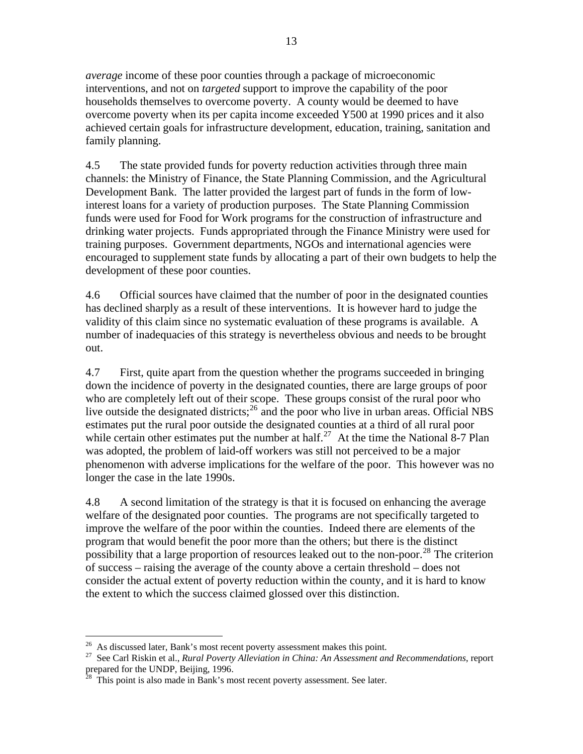*average* income of these poor counties through a package of microeconomic interventions, and not on *targeted* support to improve the capability of the poor households themselves to overcome poverty. A county would be deemed to have overcome poverty when its per capita income exceeded Y500 at 1990 prices and it also achieved certain goals for infrastructure development, education, training, sanitation and family planning.

4.5 The state provided funds for poverty reduction activities through three main channels: the Ministry of Finance, the State Planning Commission, and the Agricultural Development Bank. The latter provided the largest part of funds in the form of lowinterest loans for a variety of production purposes. The State Planning Commission funds were used for Food for Work programs for the construction of infrastructure and drinking water projects. Funds appropriated through the Finance Ministry were used for training purposes. Government departments, NGOs and international agencies were encouraged to supplement state funds by allocating a part of their own budgets to help the development of these poor counties.

4.6 Official sources have claimed that the number of poor in the designated counties has declined sharply as a result of these interventions. It is however hard to judge the validity of this claim since no systematic evaluation of these programs is available. A number of inadequacies of this strategy is nevertheless obvious and needs to be brought out.

4.7 First, quite apart from the question whether the programs succeeded in bringing down the incidence of poverty in the designated counties, there are large groups of poor who are completely left out of their scope. These groups consist of the rural poor who live outside the designated districts;<sup>[26](#page-20-0)</sup> and the poor who live in urban areas. Official NBS estimates put the rural poor outside the designated counties at a third of all rural poor while certain other estimates put the number at half.<sup>[27](#page-20-1)</sup> At the time the National 8-7 Plan was adopted, the problem of laid-off workers was still not perceived to be a major phenomenon with adverse implications for the welfare of the poor. This however was no longer the case in the late 1990s.

4.8 A second limitation of the strategy is that it is focused on enhancing the average welfare of the designated poor counties. The programs are not specifically targeted to improve the welfare of the poor within the counties. Indeed there are elements of the program that would benefit the poor more than the others; but there is the distinct possibility that a large proportion of resources leaked out to the non-poor.<sup>[28](#page-20-2)</sup> The criterion of success – raising the average of the county above a certain threshold – does not consider the actual extent of poverty reduction within the county, and it is hard to know the extent to which the success claimed glossed over this distinction.

 $^{26}$  As discussed later, Bank's most recent poverty assessment makes this point.

<span id="page-20-1"></span><span id="page-20-0"></span><sup>27</sup> See Carl Riskin et al., *Rural Poverty Alleviation in China: An Assessment and Recommendations*, report prepared for the UNDP, Beijing, 1996.

<span id="page-20-2"></span>This point is also made in Bank's most recent poverty assessment. See later.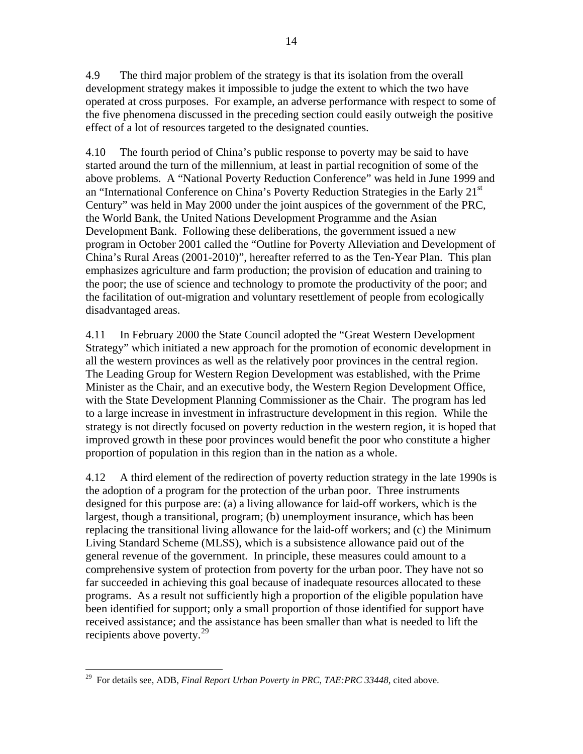4.9 The third major problem of the strategy is that its isolation from the overall development strategy makes it impossible to judge the extent to which the two have operated at cross purposes. For example, an adverse performance with respect to some of the five phenomena discussed in the preceding section could easily outweigh the positive effect of a lot of resources targeted to the designated counties.

4.10 The fourth period of China's public response to poverty may be said to have started around the turn of the millennium, at least in partial recognition of some of the above problems. A "National Poverty Reduction Conference" was held in June 1999 and an "International Conference on China's Poverty Reduction Strategies in the Early  $21<sup>st</sup>$ Century" was held in May 2000 under the joint auspices of the government of the PRC, the World Bank, the United Nations Development Programme and the Asian Development Bank. Following these deliberations, the government issued a new program in October 2001 called the "Outline for Poverty Alleviation and Development of China's Rural Areas (2001-2010)", hereafter referred to as the Ten-Year Plan. This plan emphasizes agriculture and farm production; the provision of education and training to the poor; the use of science and technology to promote the productivity of the poor; and the facilitation of out-migration and voluntary resettlement of people from ecologically disadvantaged areas.

4.11 In February 2000 the State Council adopted the "Great Western Development Strategy" which initiated a new approach for the promotion of economic development in all the western provinces as well as the relatively poor provinces in the central region. The Leading Group for Western Region Development was established, with the Prime Minister as the Chair, and an executive body, the Western Region Development Office, with the State Development Planning Commissioner as the Chair. The program has led to a large increase in investment in infrastructure development in this region. While the strategy is not directly focused on poverty reduction in the western region, it is hoped that improved growth in these poor provinces would benefit the poor who constitute a higher proportion of population in this region than in the nation as a whole.

4.12 A third element of the redirection of poverty reduction strategy in the late 1990s is the adoption of a program for the protection of the urban poor. Three instruments designed for this purpose are: (a) a living allowance for laid-off workers, which is the largest, though a transitional, program; (b) unemployment insurance, which has been replacing the transitional living allowance for the laid-off workers; and (c) the Minimum Living Standard Scheme (MLSS), which is a subsistence allowance paid out of the general revenue of the government. In principle, these measures could amount to a comprehensive system of protection from poverty for the urban poor. They have not so far succeeded in achieving this goal because of inadequate resources allocated to these programs. As a result not sufficiently high a proportion of the eligible population have been identified for support; only a small proportion of those identified for support have received assistance; and the assistance has been smaller than what is needed to lift the recipients above poverty.<sup>[29](#page-21-0)</sup>

<span id="page-21-0"></span><sup>29</sup> For details see, ADB, *Final Report Urban Poverty in PRC, TAE:PRC 33448*, cited above.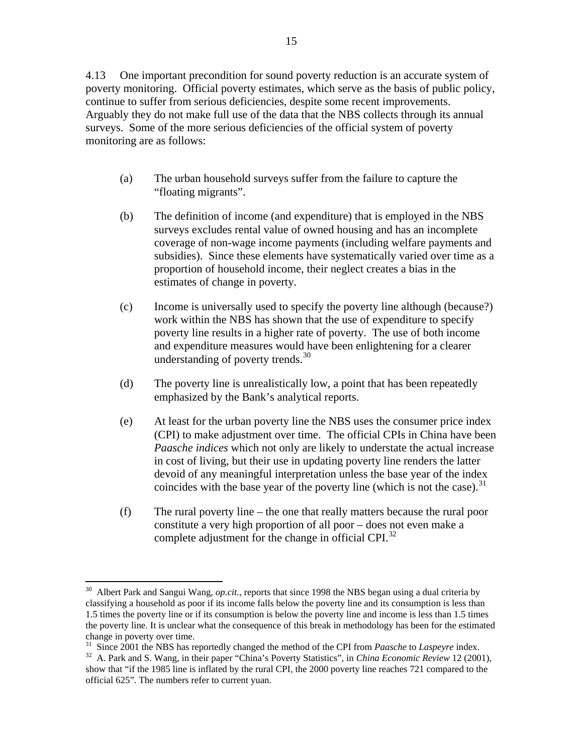4.13 One important precondition for sound poverty reduction is an accurate system of poverty monitoring. Official poverty estimates, which serve as the basis of public policy, continue to suffer from serious deficiencies, despite some recent improvements. Arguably they do not make full use of the data that the NBS collects through its annual surveys. Some of the more serious deficiencies of the official system of poverty monitoring are as follows:

- (a) The urban household surveys suffer from the failure to capture the "floating migrants".
- (b) The definition of income (and expenditure) that is employed in the NBS surveys excludes rental value of owned housing and has an incomplete coverage of non-wage income payments (including welfare payments and subsidies). Since these elements have systematically varied over time as a proportion of household income, their neglect creates a bias in the estimates of change in poverty.
- (c) Income is universally used to specify the poverty line although (because?) work within the NBS has shown that the use of expenditure to specify poverty line results in a higher rate of poverty. The use of both income and expenditure measures would have been enlightening for a clearer understanding of poverty trends. $30$
- (d) The poverty line is unrealistically low, a point that has been repeatedly emphasized by the Bank's analytical reports.
- (e) At least for the urban poverty line the NBS uses the consumer price index (CPI) to make adjustment over time. The official CPIs in China have been *Paasche indices* which not only are likely to understate the actual increase in cost of living, but their use in updating poverty line renders the latter devoid of any meaningful interpretation unless the base year of the index coincides with the base year of the poverty line (which is not the case).<sup>[31](#page-22-1)</sup>
- (f) The rural poverty line the one that really matters because the rural poor constitute a very high proportion of all poor – does not even make a complete adjustment for the change in official CPI. $^{32}$  $^{32}$  $^{32}$

<span id="page-22-0"></span><sup>30</sup> Albert Park and Sangui Wang, *op.cit.*, reports that since 1998 the NBS began using a dual criteria by classifying a household as poor if its income falls below the poverty line and its consumption is less than 1.5 times the poverty line or if its consumption is below the poverty line and income is less than 1.5 times the poverty line. It is unclear what the consequence of this break in methodology has been for the estimated change in poverty over time.<br><sup>31</sup> Since 2001 the NBS has reportedly changed the method of the CPI from *Paasche* to *Laspeyre* index.

<span id="page-22-2"></span><span id="page-22-1"></span><sup>&</sup>lt;sup>32</sup> A. Park and S. Wang, in their paper "China's Poverty Statistics", in *China Economic Review* 12 (2001), show that "if the 1985 line is inflated by the rural CPI, the 2000 poverty line reaches 721 compared to the official 625". The numbers refer to current yuan.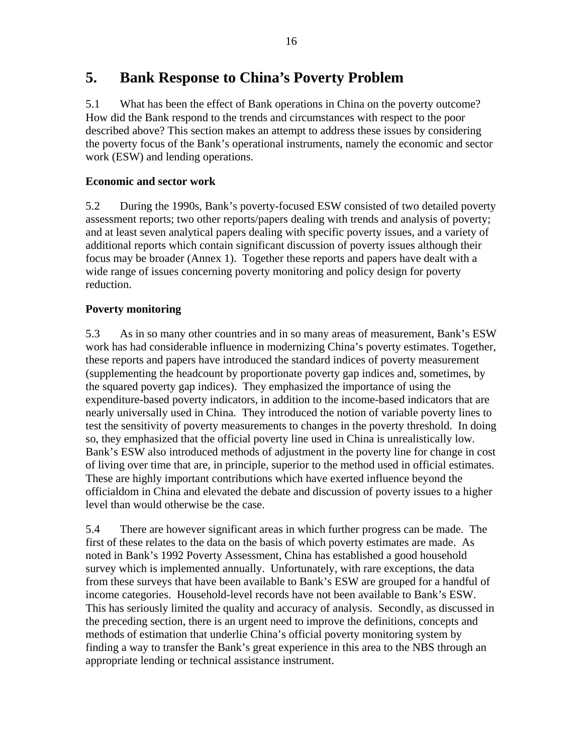## **5. Bank Response to China's Poverty Problem**

5.1 What has been the effect of Bank operations in China on the poverty outcome? How did the Bank respond to the trends and circumstances with respect to the poor described above? This section makes an attempt to address these issues by considering the poverty focus of the Bank's operational instruments, namely the economic and sector work (ESW) and lending operations.

### **Economic and sector work**

5.2 During the 1990s, Bank's poverty-focused ESW consisted of two detailed poverty assessment reports; two other reports/papers dealing with trends and analysis of poverty; and at least seven analytical papers dealing with specific poverty issues, and a variety of additional reports which contain significant discussion of poverty issues although their focus may be broader (Annex 1). Together these reports and papers have dealt with a wide range of issues concerning poverty monitoring and policy design for poverty reduction.

### **Poverty monitoring**

5.3 As in so many other countries and in so many areas of measurement, Bank's ESW work has had considerable influence in modernizing China's poverty estimates. Together, these reports and papers have introduced the standard indices of poverty measurement (supplementing the headcount by proportionate poverty gap indices and, sometimes, by the squared poverty gap indices). They emphasized the importance of using the expenditure-based poverty indicators, in addition to the income-based indicators that are nearly universally used in China. They introduced the notion of variable poverty lines to test the sensitivity of poverty measurements to changes in the poverty threshold. In doing so, they emphasized that the official poverty line used in China is unrealistically low. Bank's ESW also introduced methods of adjustment in the poverty line for change in cost of living over time that are, in principle, superior to the method used in official estimates. These are highly important contributions which have exerted influence beyond the officialdom in China and elevated the debate and discussion of poverty issues to a higher level than would otherwise be the case.

5.4 There are however significant areas in which further progress can be made. The first of these relates to the data on the basis of which poverty estimates are made. As noted in Bank's 1992 Poverty Assessment, China has established a good household survey which is implemented annually. Unfortunately, with rare exceptions, the data from these surveys that have been available to Bank's ESW are grouped for a handful of income categories. Household-level records have not been available to Bank's ESW. This has seriously limited the quality and accuracy of analysis. Secondly, as discussed in the preceding section, there is an urgent need to improve the definitions, concepts and methods of estimation that underlie China's official poverty monitoring system by finding a way to transfer the Bank's great experience in this area to the NBS through an appropriate lending or technical assistance instrument.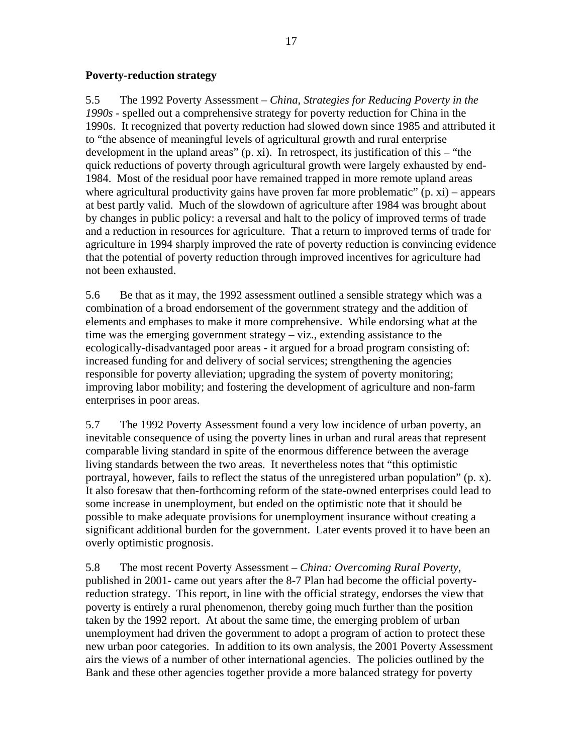#### **Poverty-reduction strategy**

5.5 The 1992 Poverty Assessment – *China, Strategies for Reducing Poverty in the 1990s* - spelled out a comprehensive strategy for poverty reduction for China in the 1990s. It recognized that poverty reduction had slowed down since 1985 and attributed it to "the absence of meaningful levels of agricultural growth and rural enterprise development in the upland areas" (p. xi). In retrospect, its justification of this – "the quick reductions of poverty through agricultural growth were largely exhausted by end-1984. Most of the residual poor have remained trapped in more remote upland areas where agricultural productivity gains have proven far more problematic"  $(p, xi)$  – appears at best partly valid. Much of the slowdown of agriculture after 1984 was brought about by changes in public policy: a reversal and halt to the policy of improved terms of trade and a reduction in resources for agriculture. That a return to improved terms of trade for agriculture in 1994 sharply improved the rate of poverty reduction is convincing evidence that the potential of poverty reduction through improved incentives for agriculture had not been exhausted.

5.6 Be that as it may, the 1992 assessment outlined a sensible strategy which was a combination of a broad endorsement of the government strategy and the addition of elements and emphases to make it more comprehensive. While endorsing what at the time was the emerging government strategy – viz., extending assistance to the ecologically-disadvantaged poor areas - it argued for a broad program consisting of: increased funding for and delivery of social services; strengthening the agencies responsible for poverty alleviation; upgrading the system of poverty monitoring; improving labor mobility; and fostering the development of agriculture and non-farm enterprises in poor areas.

5.7 The 1992 Poverty Assessment found a very low incidence of urban poverty, an inevitable consequence of using the poverty lines in urban and rural areas that represent comparable living standard in spite of the enormous difference between the average living standards between the two areas. It nevertheless notes that "this optimistic portrayal, however, fails to reflect the status of the unregistered urban population" (p. x). It also foresaw that then-forthcoming reform of the state-owned enterprises could lead to some increase in unemployment, but ended on the optimistic note that it should be possible to make adequate provisions for unemployment insurance without creating a significant additional burden for the government. Later events proved it to have been an overly optimistic prognosis.

5.8 The most recent Poverty Assessment – *China: Overcoming Rural Poverty*, published in 2001- came out years after the 8-7 Plan had become the official povertyreduction strategy. This report, in line with the official strategy, endorses the view that poverty is entirely a rural phenomenon, thereby going much further than the position taken by the 1992 report. At about the same time, the emerging problem of urban unemployment had driven the government to adopt a program of action to protect these new urban poor categories. In addition to its own analysis, the 2001 Poverty Assessment airs the views of a number of other international agencies. The policies outlined by the Bank and these other agencies together provide a more balanced strategy for poverty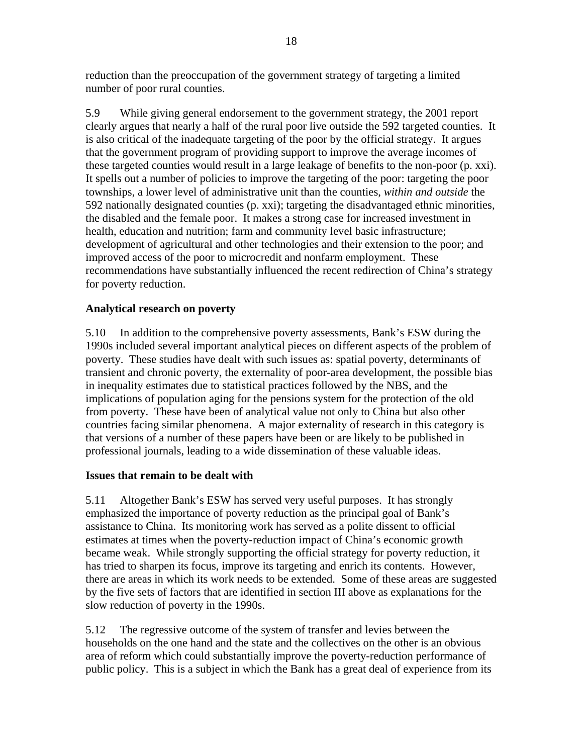reduction than the preoccupation of the government strategy of targeting a limited number of poor rural counties.

5.9 While giving general endorsement to the government strategy, the 2001 report clearly argues that nearly a half of the rural poor live outside the 592 targeted counties. It is also critical of the inadequate targeting of the poor by the official strategy. It argues that the government program of providing support to improve the average incomes of these targeted counties would result in a large leakage of benefits to the non-poor (p. xxi). It spells out a number of policies to improve the targeting of the poor: targeting the poor townships, a lower level of administrative unit than the counties, *within and outside* the 592 nationally designated counties (p. xxi); targeting the disadvantaged ethnic minorities, the disabled and the female poor. It makes a strong case for increased investment in health, education and nutrition; farm and community level basic infrastructure; development of agricultural and other technologies and their extension to the poor; and improved access of the poor to microcredit and nonfarm employment. These recommendations have substantially influenced the recent redirection of China's strategy for poverty reduction.

### **Analytical research on poverty**

5.10 In addition to the comprehensive poverty assessments, Bank's ESW during the 1990s included several important analytical pieces on different aspects of the problem of poverty. These studies have dealt with such issues as: spatial poverty, determinants of transient and chronic poverty, the externality of poor-area development, the possible bias in inequality estimates due to statistical practices followed by the NBS, and the implications of population aging for the pensions system for the protection of the old from poverty. These have been of analytical value not only to China but also other countries facing similar phenomena. A major externality of research in this category is that versions of a number of these papers have been or are likely to be published in professional journals, leading to a wide dissemination of these valuable ideas.

### **Issues that remain to be dealt with**

5.11 Altogether Bank's ESW has served very useful purposes. It has strongly emphasized the importance of poverty reduction as the principal goal of Bank's assistance to China. Its monitoring work has served as a polite dissent to official estimates at times when the poverty-reduction impact of China's economic growth became weak. While strongly supporting the official strategy for poverty reduction, it has tried to sharpen its focus, improve its targeting and enrich its contents. However, there are areas in which its work needs to be extended. Some of these areas are suggested by the five sets of factors that are identified in section III above as explanations for the slow reduction of poverty in the 1990s.

5.12 The regressive outcome of the system of transfer and levies between the households on the one hand and the state and the collectives on the other is an obvious area of reform which could substantially improve the poverty-reduction performance of public policy. This is a subject in which the Bank has a great deal of experience from its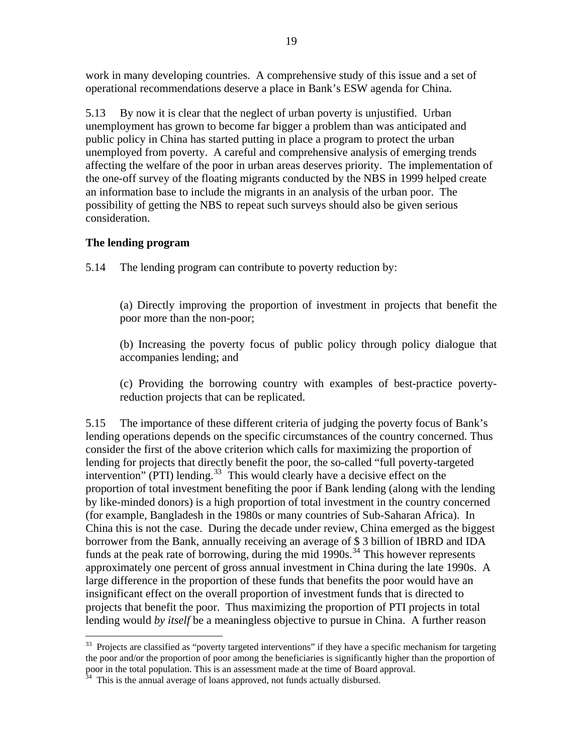work in many developing countries. A comprehensive study of this issue and a set of operational recommendations deserve a place in Bank's ESW agenda for China.

5.13 By now it is clear that the neglect of urban poverty is unjustified. Urban unemployment has grown to become far bigger a problem than was anticipated and public policy in China has started putting in place a program to protect the urban unemployed from poverty. A careful and comprehensive analysis of emerging trends affecting the welfare of the poor in urban areas deserves priority. The implementation of the one-off survey of the floating migrants conducted by the NBS in 1999 helped create an information base to include the migrants in an analysis of the urban poor. The possibility of getting the NBS to repeat such surveys should also be given serious consideration.

#### **The lending program**

 $\overline{a}$ 

5.14 The lending program can contribute to poverty reduction by:

(a) Directly improving the proportion of investment in projects that benefit the poor more than the non-poor;

(b) Increasing the poverty focus of public policy through policy dialogue that accompanies lending; and

(c) Providing the borrowing country with examples of best-practice povertyreduction projects that can be replicated.

5.15 The importance of these different criteria of judging the poverty focus of Bank's lending operations depends on the specific circumstances of the country concerned. Thus consider the first of the above criterion which calls for maximizing the proportion of lending for projects that directly benefit the poor, the so-called "full poverty-targeted intervention" (PTI) lending.<sup>[33](#page-26-0)</sup> This would clearly have a decisive effect on the proportion of total investment benefiting the poor if Bank lending (along with the lending by like-minded donors) is a high proportion of total investment in the country concerned (for example, Bangladesh in the 1980s or many countries of Sub-Saharan Africa). In China this is not the case. During the decade under review, China emerged as the biggest borrower from the Bank, annually receiving an average of \$ 3 billion of IBRD and IDA funds at the peak rate of borrowing, during the mid  $1990s$ .<sup>[34](#page-26-1)</sup> This however represents approximately one percent of gross annual investment in China during the late 1990s. A large difference in the proportion of these funds that benefits the poor would have an insignificant effect on the overall proportion of investment funds that is directed to projects that benefit the poor. Thus maximizing the proportion of PTI projects in total lending would *by itself* be a meaningless objective to pursue in China. A further reason

<span id="page-26-0"></span><sup>&</sup>lt;sup>33</sup> Projects are classified as "poverty targeted interventions" if they have a specific mechanism for targeting the poor and/or the proportion of poor among the beneficiaries is significantly higher than the proportion of poor in the total population. This is an assessment made at the time of Board approval.

<span id="page-26-1"></span>This is the annual average of loans approved, not funds actually disbursed.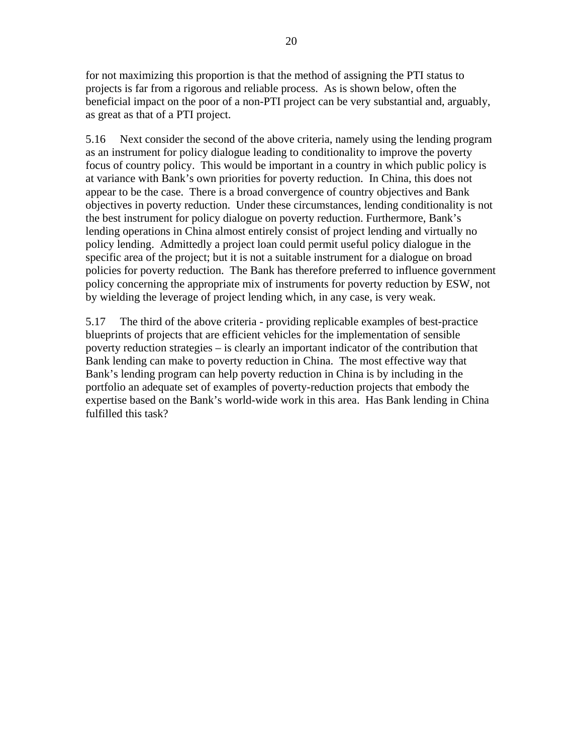for not maximizing this proportion is that the method of assigning the PTI status to projects is far from a rigorous and reliable process. As is shown below, often the beneficial impact on the poor of a non-PTI project can be very substantial and, arguably, as great as that of a PTI project.

5.16 Next consider the second of the above criteria, namely using the lending program as an instrument for policy dialogue leading to conditionality to improve the poverty focus of country policy. This would be important in a country in which public policy is at variance with Bank's own priorities for poverty reduction. In China, this does not appear to be the case. There is a broad convergence of country objectives and Bank objectives in poverty reduction. Under these circumstances, lending conditionality is not the best instrument for policy dialogue on poverty reduction. Furthermore, Bank's lending operations in China almost entirely consist of project lending and virtually no policy lending. Admittedly a project loan could permit useful policy dialogue in the specific area of the project; but it is not a suitable instrument for a dialogue on broad policies for poverty reduction. The Bank has therefore preferred to influence government policy concerning the appropriate mix of instruments for poverty reduction by ESW, not by wielding the leverage of project lending which, in any case, is very weak.

5.17 The third of the above criteria - providing replicable examples of best-practice blueprints of projects that are efficient vehicles for the implementation of sensible poverty reduction strategies – is clearly an important indicator of the contribution that Bank lending can make to poverty reduction in China. The most effective way that Bank's lending program can help poverty reduction in China is by including in the portfolio an adequate set of examples of poverty-reduction projects that embody the expertise based on the Bank's world-wide work in this area. Has Bank lending in China fulfilled this task?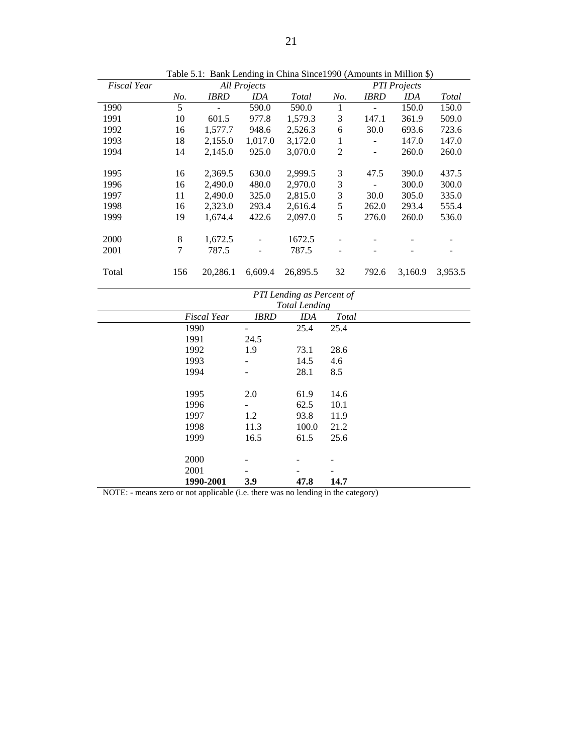| <b>Fiscal Year</b> | <b>All Projects</b> |             |                          |              |                          | <b>PTI</b> Projects |         |         |
|--------------------|---------------------|-------------|--------------------------|--------------|--------------------------|---------------------|---------|---------|
|                    | No.                 | <b>IBRD</b> | IDA                      | <b>Total</b> | No.                      | <b>IBRD</b>         | IDA     | Total   |
| 1990               | 5                   |             | 590.0                    | 590.0        | 1                        |                     | 150.0   | 150.0   |
| 1991               | 10                  | 601.5       | 977.8                    | 1,579.3      | 3                        | 147.1               | 361.9   | 509.0   |
| 1992               | 16                  | 1,577.7     | 948.6                    | 2,526.3      | 6                        | 30.0                | 693.6   | 723.6   |
| 1993               | 18                  | 2,155.0     | 1,017.0                  | 3,172.0      | 1                        |                     | 147.0   | 147.0   |
| 1994               | 14                  | 2,145.0     | 925.0                    | 3,070.0      | $\overline{2}$           | -                   | 260.0   | 260.0   |
|                    |                     |             |                          |              |                          |                     |         |         |
| 1995               | 16                  | 2,369.5     | 630.0                    | 2,999.5      | 3                        | 47.5                | 390.0   | 437.5   |
| 1996               | 16                  | 2.490.0     | 480.0                    | 2,970.0      | 3                        |                     | 300.0   | 300.0   |
| 1997               | 11                  | 2,490.0     | 325.0                    | 2,815.0      | 3                        | 30.0                | 305.0   | 335.0   |
| 1998               | 16                  | 2,323.0     | 293.4                    | 2,616.4      | 5                        | 262.0               | 293.4   | 555.4   |
| 1999               | 19                  | 1,674.4     | 422.6                    | 2,097.0      | 5                        | 276.0               | 260.0   | 536.0   |
|                    |                     |             |                          |              |                          |                     |         |         |
| 2000               | 8                   | 1,672.5     | $\overline{\phantom{a}}$ | 1672.5       |                          |                     |         |         |
| 2001               | 7                   | 787.5       | $\overline{\phantom{a}}$ | 787.5        | $\overline{\phantom{0}}$ |                     |         |         |
|                    |                     |             |                          |              |                          |                     |         |         |
| Total              | 156                 | 20.286.1    | 6,609.4                  | 26,895.5     | 32                       | 792.6               | 3.160.9 | 3.953.5 |

Table 5.1: Bank Lending in China Since1990 (Amounts in Million \$)

| PTI Lending as Percent of |             |                      |              |  |  |
|---------------------------|-------------|----------------------|--------------|--|--|
|                           |             | <b>Total Lending</b> |              |  |  |
| <b>Fiscal Year</b>        | <b>IBRD</b> | <b>IDA</b>           | <b>Total</b> |  |  |
| 1990                      | -           | 25.4                 | 25.4         |  |  |
| 1991                      | 24.5        |                      |              |  |  |
| 1992                      | 1.9         | 73.1                 | 28.6         |  |  |
| 1993                      |             | 14.5                 | 4.6          |  |  |
| 1994                      |             | 28.1                 | 8.5          |  |  |
| 1995                      | 2.0         | 61.9                 | 14.6         |  |  |
| 1996                      |             | 62.5                 | 10.1         |  |  |
| 1997                      | 1.2         | 93.8                 | 11.9         |  |  |
| 1998                      | 11.3        | 100.0                | 21.2         |  |  |
| 1999                      | 16.5        | 61.5                 | 25.6         |  |  |
| 2000                      |             |                      |              |  |  |
| 2001                      |             |                      |              |  |  |
| 1990-2001                 | 3.9         | 47.8                 | 14.7         |  |  |

NOTE: - means zero or not applicable (i.e. there was no lending in the category)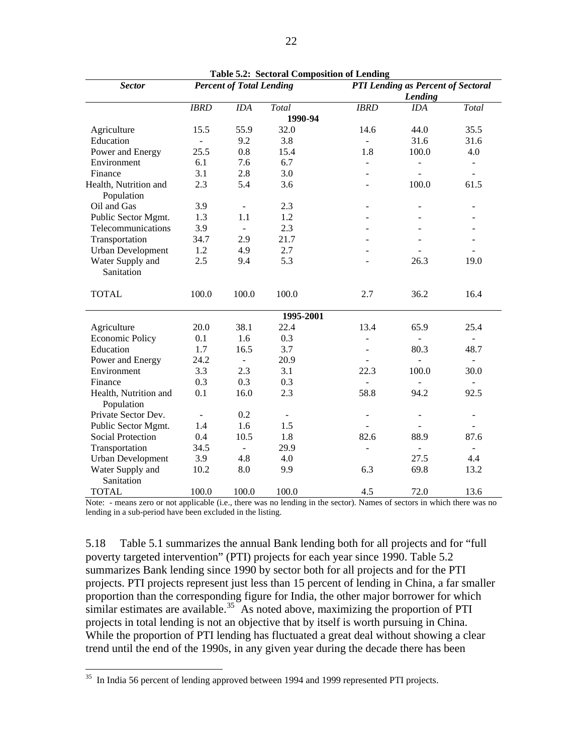| <b>Sector</b>                       |                | <b>Percent of Total Lending</b> |                              |                          | <b>PTI Lending as Percent of Sectoral</b> |                          |
|-------------------------------------|----------------|---------------------------------|------------------------------|--------------------------|-------------------------------------------|--------------------------|
|                                     |                |                                 |                              |                          | Lending                                   |                          |
|                                     | <b>IBRD</b>    | <b>IDA</b>                      | Total                        | <b>IBRD</b>              | <b>IDA</b>                                | Total                    |
|                                     |                |                                 | 1990-94                      |                          |                                           |                          |
| Agriculture                         | 15.5           | 55.9                            | 32.0                         | 14.6                     | 44.0                                      | 35.5                     |
| Education                           | $\blacksquare$ | 9.2                             | 3.8                          | $\mathbf{r}$             | 31.6                                      | 31.6                     |
| Power and Energy                    | 25.5           | 0.8                             | 15.4                         | 1.8                      | 100.0                                     | 4.0                      |
| Environment                         | 6.1            | 7.6                             | 6.7                          | $\overline{a}$           |                                           | $\overline{a}$           |
| Finance                             | 3.1            | 2.8                             | 3.0                          |                          |                                           |                          |
| Health, Nutrition and<br>Population | 2.3            | 5.4                             | 3.6                          |                          | 100.0                                     | 61.5                     |
| Oil and Gas                         | 3.9            | $\bar{\phantom{a}}$             | 2.3                          |                          |                                           |                          |
| Public Sector Mgmt.                 | 1.3            | 1.1                             | 1.2                          |                          |                                           |                          |
| Telecommunications                  | 3.9            | $\blacksquare$                  | 2.3                          |                          |                                           |                          |
| Transportation                      | 34.7           | 2.9                             | 21.7                         |                          |                                           |                          |
| <b>Urban Development</b>            | 1.2            | 4.9                             | 2.7                          |                          |                                           |                          |
| Water Supply and<br>Sanitation      | 2.5            | 9.4                             | 5.3                          |                          | 26.3                                      | 19.0                     |
| <b>TOTAL</b>                        | 100.0          | 100.0                           | 100.0                        | 2.7                      | 36.2                                      | 16.4                     |
|                                     |                |                                 | 1995-2001                    |                          |                                           |                          |
| Agriculture                         | 20.0           | 38.1                            | 22.4                         | 13.4                     | 65.9                                      | 25.4                     |
| <b>Economic Policy</b>              | 0.1            | 1.6                             | 0.3                          | $\overline{a}$           |                                           | $\overline{\phantom{0}}$ |
| Education                           | 1.7            | 16.5                            | 3.7                          |                          | 80.3                                      | 48.7                     |
| Power and Energy                    | 24.2           | $\frac{1}{2}$                   | 20.9                         |                          |                                           | $\overline{\phantom{a}}$ |
| Environment                         | 3.3            | 2.3                             | 3.1                          | 22.3                     | 100.0                                     | 30.0                     |
| Finance                             | 0.3            | 0.3                             | 0.3                          | ÷.                       | $\sim$                                    | $\overline{\phantom{0}}$ |
| Health, Nutrition and<br>Population | 0.1            | 16.0                            | 2.3                          | 58.8                     | 94.2                                      | 92.5                     |
| Private Sector Dev.                 |                | 0.2                             | $\qquad \qquad \blacksquare$ | $\overline{\phantom{m}}$ |                                           |                          |
| Public Sector Mgmt.                 | 1.4            | 1.6                             | 1.5                          |                          |                                           |                          |
| <b>Social Protection</b>            | 0.4            | 10.5                            | 1.8                          | 82.6                     | 88.9                                      | 87.6                     |
| Transportation                      | 34.5           | $\blacksquare$                  | 29.9                         | $\overline{a}$           | $\blacksquare$                            | $\overline{\phantom{a}}$ |
| <b>Urban Development</b>            | 3.9            | 4.8                             | 4.0                          |                          | 27.5                                      | 4.4                      |
| Water Supply and<br>Sanitation      | 10.2           | 8.0                             | 9.9                          | 6.3                      | 69.8                                      | 13.2                     |
| <b>TOTAL</b>                        | 100.0          | 100.0                           | 100.0                        | 4.5                      | 72.0                                      | 13.6                     |

**Table 5.2: Sectoral Composition of Lending** 

Note: - means zero or not applicable (i.e., there was no lending in the sector). Names of sectors in which there was no lending in a sub-period have been excluded in the listing.

5.18 Table 5.1 summarizes the annual Bank lending both for all projects and for "full poverty targeted intervention" (PTI) projects for each year since 1990. Table 5.2 summarizes Bank lending since 1990 by sector both for all projects and for the PTI projects. PTI projects represent just less than 15 percent of lending in China, a far smaller proportion than the corresponding figure for India, the other major borrower for which similar estimates are available.<sup>[35](#page-29-0)</sup> As noted above, maximizing the proportion of PTI projects in total lending is not an objective that by itself is worth pursuing in China. While the proportion of PTI lending has fluctuated a great deal without showing a clear trend until the end of the 1990s, in any given year during the decade there has been

<span id="page-29-0"></span> $35$  In India 56 percent of lending approved between 1994 and 1999 represented PTI projects.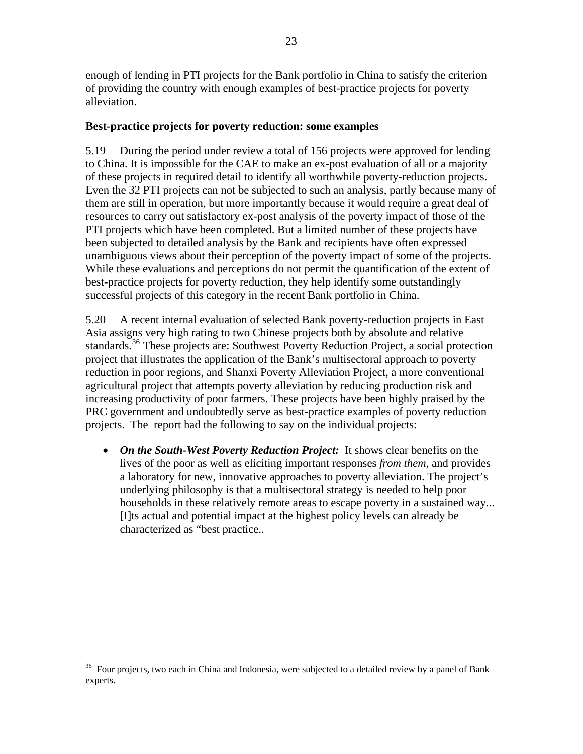enough of lending in PTI projects for the Bank portfolio in China to satisfy the criterion of providing the country with enough examples of best-practice projects for poverty alleviation.

#### **Best-practice projects for poverty reduction: some examples**

5.19 During the period under review a total of 156 projects were approved for lending to China. It is impossible for the CAE to make an ex-post evaluation of all or a majority of these projects in required detail to identify all worthwhile poverty-reduction projects. Even the 32 PTI projects can not be subjected to such an analysis, partly because many of them are still in operation, but more importantly because it would require a great deal of resources to carry out satisfactory ex-post analysis of the poverty impact of those of the PTI projects which have been completed. But a limited number of these projects have been subjected to detailed analysis by the Bank and recipients have often expressed unambiguous views about their perception of the poverty impact of some of the projects. While these evaluations and perceptions do not permit the quantification of the extent of best-practice projects for poverty reduction, they help identify some outstandingly successful projects of this category in the recent Bank portfolio in China.

5.20 A recent internal evaluation of selected Bank poverty-reduction projects in East Asia assigns very high rating to two Chinese projects both by absolute and relative standards.<sup>[36](#page-30-0)</sup> These projects are: Southwest Poverty Reduction Project, a social protection project that illustrates the application of the Bank's multisectoral approach to poverty reduction in poor regions, and Shanxi Poverty Alleviation Project, a more conventional agricultural project that attempts poverty alleviation by reducing production risk and increasing productivity of poor farmers. These projects have been highly praised by the PRC government and undoubtedly serve as best-practice examples of poverty reduction projects. The report had the following to say on the individual projects:

• *On the South-West Poverty Reduction Project:* It shows clear benefits on the lives of the poor as well as eliciting important responses *from them*, and provides a laboratory for new, innovative approaches to poverty alleviation. The project's underlying philosophy is that a multisectoral strategy is needed to help poor households in these relatively remote areas to escape poverty in a sustained way... [I]ts actual and potential impact at the highest policy levels can already be characterized as "best practice..

<span id="page-30-0"></span> $36$  Four projects, two each in China and Indonesia, were subjected to a detailed review by a panel of Bank experts.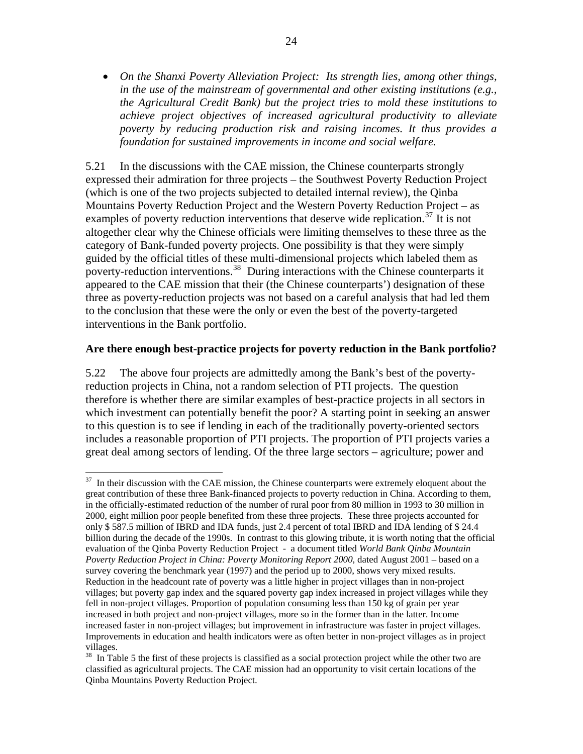• *On the Shanxi Poverty Alleviation Project: Its strength lies, among other things, in the use of the mainstream of governmental and other existing institutions (e.g., the Agricultural Credit Bank) but the project tries to mold these institutions to achieve project objectives of increased agricultural productivity to alleviate poverty by reducing production risk and raising incomes. It thus provides a foundation for sustained improvements in income and social welfare.* 

5.21 In the discussions with the CAE mission, the Chinese counterparts strongly expressed their admiration for three projects – the Southwest Poverty Reduction Project (which is one of the two projects subjected to detailed internal review), the Qinba Mountains Poverty Reduction Project and the Western Poverty Reduction Project – as examples of poverty reduction interventions that deserve wide replication.<sup>[37](#page-31-0)</sup> It is not altogether clear why the Chinese officials were limiting themselves to these three as the category of Bank-funded poverty projects. One possibility is that they were simply guided by the official titles of these multi-dimensional projects which labeled them as poverty-reduction interventions.<sup>[38](#page-31-1)</sup> During interactions with the Chinese counterparts it appeared to the CAE mission that their (the Chinese counterparts') designation of these three as poverty-reduction projects was not based on a careful analysis that had led them to the conclusion that these were the only or even the best of the poverty-targeted interventions in the Bank portfolio.

#### **Are there enough best-practice projects for poverty reduction in the Bank portfolio?**

5.22 The above four projects are admittedly among the Bank's best of the povertyreduction projects in China, not a random selection of PTI projects. The question therefore is whether there are similar examples of best-practice projects in all sectors in which investment can potentially benefit the poor? A starting point in seeking an answer to this question is to see if lending in each of the traditionally poverty-oriented sectors includes a reasonable proportion of PTI projects. The proportion of PTI projects varies a great deal among sectors of lending. Of the three large sectors – agriculture; power and

<span id="page-31-0"></span> $37$  In their discussion with the CAE mission, the Chinese counterparts were extremely eloquent about the great contribution of these three Bank-financed projects to poverty reduction in China. According to them, in the officially-estimated reduction of the number of rural poor from 80 million in 1993 to 30 million in 2000, eight million poor people benefited from these three projects. These three projects accounted for only \$ 587.5 million of IBRD and IDA funds, just 2.4 percent of total IBRD and IDA lending of \$ 24.4 billion during the decade of the 1990s. In contrast to this glowing tribute, it is worth noting that the official evaluation of the Qinba Poverty Reduction Project - a document titled *World Bank Qinba Mountain Poverty Reduction Project in China: Poverty Monitoring Report 2000*, dated August 2001 – based on a survey covering the benchmark year (1997) and the period up to 2000, shows very mixed results. Reduction in the headcount rate of poverty was a little higher in project villages than in non-project villages; but poverty gap index and the squared poverty gap index increased in project villages while they fell in non-project villages. Proportion of population consuming less than 150 kg of grain per year increased in both project and non-project villages, more so in the former than in the latter. Income increased faster in non-project villages; but improvement in infrastructure was faster in project villages. Improvements in education and health indicators were as often better in non-project villages as in project villages.

<span id="page-31-1"></span><sup>&</sup>lt;sup>38</sup> In Table 5 the first of these projects is classified as a social protection project while the other two are classified as agricultural projects. The CAE mission had an opportunity to visit certain locations of the Qinba Mountains Poverty Reduction Project.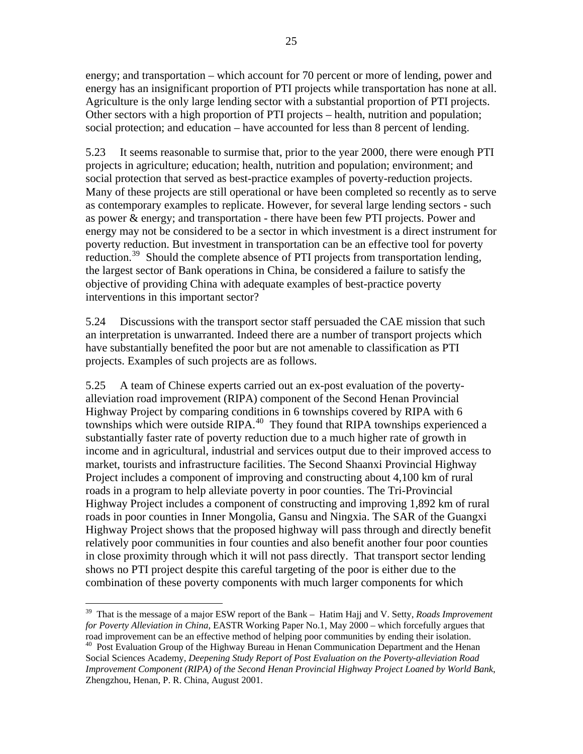energy; and transportation – which account for 70 percent or more of lending, power and energy has an insignificant proportion of PTI projects while transportation has none at all. Agriculture is the only large lending sector with a substantial proportion of PTI projects. Other sectors with a high proportion of PTI projects – health, nutrition and population; social protection; and education – have accounted for less than 8 percent of lending.

5.23 It seems reasonable to surmise that, prior to the year 2000, there were enough PTI projects in agriculture; education; health, nutrition and population; environment; and social protection that served as best-practice examples of poverty-reduction projects. Many of these projects are still operational or have been completed so recently as to serve as contemporary examples to replicate. However, for several large lending sectors - such as power & energy; and transportation - there have been few PTI projects. Power and energy may not be considered to be a sector in which investment is a direct instrument for poverty reduction. But investment in transportation can be an effective tool for poverty reduction.<sup>[39](#page-32-0)</sup> Should the complete absence of PTI projects from transportation lending, the largest sector of Bank operations in China, be considered a failure to satisfy the objective of providing China with adequate examples of best-practice poverty interventions in this important sector?

5.24 Discussions with the transport sector staff persuaded the CAE mission that such an interpretation is unwarranted. Indeed there are a number of transport projects which have substantially benefited the poor but are not amenable to classification as PTI projects. Examples of such projects are as follows.

5.25 A team of Chinese experts carried out an ex-post evaluation of the povertyalleviation road improvement (RIPA) component of the Second Henan Provincial Highway Project by comparing conditions in 6 townships covered by RIPA with 6 townships which were outside RIPA.<sup>[40](#page-32-1)</sup> They found that RIPA townships experienced a substantially faster rate of poverty reduction due to a much higher rate of growth in income and in agricultural, industrial and services output due to their improved access to market, tourists and infrastructure facilities. The Second Shaanxi Provincial Highway Project includes a component of improving and constructing about 4,100 km of rural roads in a program to help alleviate poverty in poor counties. The Tri-Provincial Highway Project includes a component of constructing and improving 1,892 km of rural roads in poor counties in Inner Mongolia, Gansu and Ningxia. The SAR of the Guangxi Highway Project shows that the proposed highway will pass through and directly benefit relatively poor communities in four counties and also benefit another four poor counties in close proximity through which it will not pass directly. That transport sector lending shows no PTI project despite this careful targeting of the poor is either due to the combination of these poverty components with much larger components for which

<span id="page-32-0"></span><sup>39</sup> That is the message of a major ESW report of the Bank – Hatim Hajj and V. Setty, *Roads Improvement for Poverty Alleviation in China*, EASTR Working Paper No.1, May 2000 – which forcefully argues that road improvement can be an effective method of helping poor communities by ending their isolation.

<span id="page-32-1"></span><sup>&</sup>lt;sup>40</sup> Post Evaluation Group of the Highway Bureau in Henan Communication Department and the Henan Social Sciences Academy, *Deepening Study Report of Post Evaluation on the Poverty-alleviation Road Improvement Component (RIPA) of the Second Henan Provincial Highway Project Loaned by World Bank*, Zhengzhou, Henan, P. R. China, August 2001.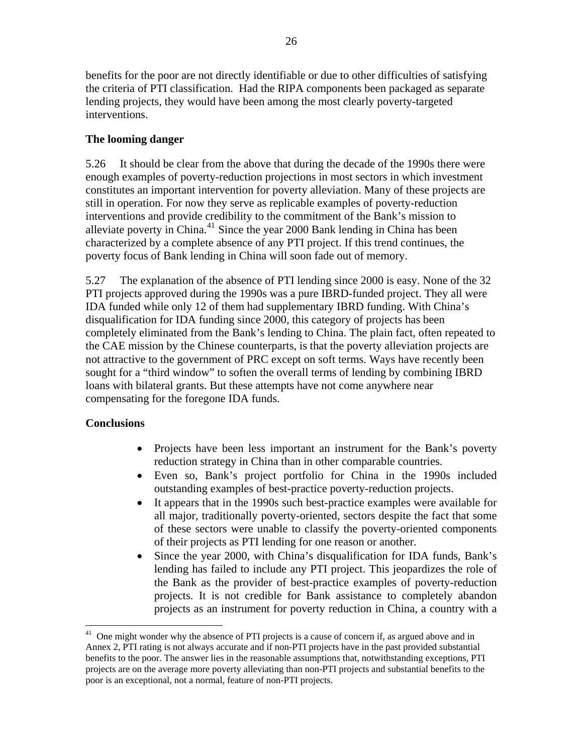benefits for the poor are not directly identifiable or due to other difficulties of satisfying the criteria of PTI classification. Had the RIPA components been packaged as separate lending projects, they would have been among the most clearly poverty-targeted interventions.

### **The looming danger**

5.26 It should be clear from the above that during the decade of the 1990s there were enough examples of poverty-reduction projections in most sectors in which investment constitutes an important intervention for poverty alleviation. Many of these projects are still in operation. For now they serve as replicable examples of poverty-reduction interventions and provide credibility to the commitment of the Bank's mission to alleviate poverty in China.[41](#page-33-0) Since the year 2000 Bank lending in China has been characterized by a complete absence of any PTI project. If this trend continues, the poverty focus of Bank lending in China will soon fade out of memory.

5.27 The explanation of the absence of PTI lending since 2000 is easy. None of the 32 PTI projects approved during the 1990s was a pure IBRD-funded project. They all were IDA funded while only 12 of them had supplementary IBRD funding. With China's disqualification for IDA funding since 2000, this category of projects has been completely eliminated from the Bank's lending to China. The plain fact, often repeated to the CAE mission by the Chinese counterparts, is that the poverty alleviation projects are not attractive to the government of PRC except on soft terms. Ways have recently been sought for a "third window" to soften the overall terms of lending by combining IBRD loans with bilateral grants. But these attempts have not come anywhere near compensating for the foregone IDA funds.

### **Conclusions**

- Projects have been less important an instrument for the Bank's poverty reduction strategy in China than in other comparable countries.
- Even so, Bank's project portfolio for China in the 1990s included outstanding examples of best-practice poverty-reduction projects.
- It appears that in the 1990s such best-practice examples were available for all major, traditionally poverty-oriented, sectors despite the fact that some of these sectors were unable to classify the poverty-oriented components of their projects as PTI lending for one reason or another.
- Since the year 2000, with China's disqualification for IDA funds, Bank's lending has failed to include any PTI project. This jeopardizes the role of the Bank as the provider of best-practice examples of poverty-reduction projects. It is not credible for Bank assistance to completely abandon projects as an instrument for poverty reduction in China, a country with a

<span id="page-33-0"></span> $41$  One might wonder why the absence of PTI projects is a cause of concern if, as argued above and in Annex 2, PTI rating is not always accurate and if non-PTI projects have in the past provided substantial benefits to the poor. The answer lies in the reasonable assumptions that, notwithstanding exceptions, PTI projects are on the average more poverty alleviating than non-PTI projects and substantial benefits to the poor is an exceptional, not a normal, feature of non-PTI projects.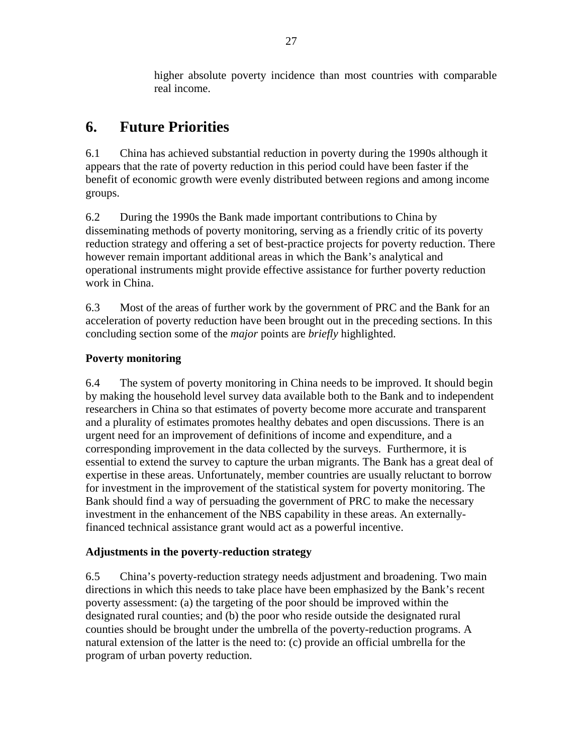higher absolute poverty incidence than most countries with comparable real income.

## **6. Future Priorities**

6.1 China has achieved substantial reduction in poverty during the 1990s although it appears that the rate of poverty reduction in this period could have been faster if the benefit of economic growth were evenly distributed between regions and among income groups.

6.2 During the 1990s the Bank made important contributions to China by disseminating methods of poverty monitoring, serving as a friendly critic of its poverty reduction strategy and offering a set of best-practice projects for poverty reduction. There however remain important additional areas in which the Bank's analytical and operational instruments might provide effective assistance for further poverty reduction work in China.

6.3 Most of the areas of further work by the government of PRC and the Bank for an acceleration of poverty reduction have been brought out in the preceding sections. In this concluding section some of the *major* points are *briefly* highlighted.

### **Poverty monitoring**

6.4 The system of poverty monitoring in China needs to be improved. It should begin by making the household level survey data available both to the Bank and to independent researchers in China so that estimates of poverty become more accurate and transparent and a plurality of estimates promotes healthy debates and open discussions. There is an urgent need for an improvement of definitions of income and expenditure, and a corresponding improvement in the data collected by the surveys. Furthermore, it is essential to extend the survey to capture the urban migrants. The Bank has a great deal of expertise in these areas. Unfortunately, member countries are usually reluctant to borrow for investment in the improvement of the statistical system for poverty monitoring. The Bank should find a way of persuading the government of PRC to make the necessary investment in the enhancement of the NBS capability in these areas. An externallyfinanced technical assistance grant would act as a powerful incentive.

### **Adjustments in the poverty-reduction strategy**

6.5 China's poverty-reduction strategy needs adjustment and broadening. Two main directions in which this needs to take place have been emphasized by the Bank's recent poverty assessment: (a) the targeting of the poor should be improved within the designated rural counties; and (b) the poor who reside outside the designated rural counties should be brought under the umbrella of the poverty-reduction programs. A natural extension of the latter is the need to: (c) provide an official umbrella for the program of urban poverty reduction.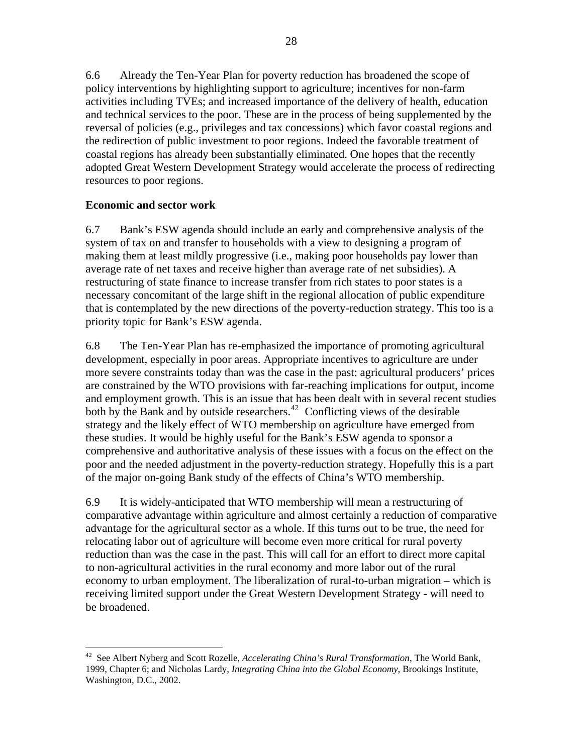6.6 Already the Ten-Year Plan for poverty reduction has broadened the scope of policy interventions by highlighting support to agriculture; incentives for non-farm activities including TVEs; and increased importance of the delivery of health, education and technical services to the poor. These are in the process of being supplemented by the reversal of policies (e.g., privileges and tax concessions) which favor coastal regions and the redirection of public investment to poor regions. Indeed the favorable treatment of coastal regions has already been substantially eliminated. One hopes that the recently adopted Great Western Development Strategy would accelerate the process of redirecting resources to poor regions.

### **Economic and sector work**

6.7 Bank's ESW agenda should include an early and comprehensive analysis of the system of tax on and transfer to households with a view to designing a program of making them at least mildly progressive (i.e., making poor households pay lower than average rate of net taxes and receive higher than average rate of net subsidies). A restructuring of state finance to increase transfer from rich states to poor states is a necessary concomitant of the large shift in the regional allocation of public expenditure that is contemplated by the new directions of the poverty-reduction strategy. This too is a priority topic for Bank's ESW agenda.

6.8 The Ten-Year Plan has re-emphasized the importance of promoting agricultural development, especially in poor areas. Appropriate incentives to agriculture are under more severe constraints today than was the case in the past: agricultural producers' prices are constrained by the WTO provisions with far-reaching implications for output, income and employment growth. This is an issue that has been dealt with in several recent studies both by the Bank and by outside researchers.<sup>[42](#page-35-0)</sup> Conflicting views of the desirable strategy and the likely effect of WTO membership on agriculture have emerged from these studies. It would be highly useful for the Bank's ESW agenda to sponsor a comprehensive and authoritative analysis of these issues with a focus on the effect on the poor and the needed adjustment in the poverty-reduction strategy. Hopefully this is a part of the major on-going Bank study of the effects of China's WTO membership.

6.9 It is widely-anticipated that WTO membership will mean a restructuring of comparative advantage within agriculture and almost certainly a reduction of comparative advantage for the agricultural sector as a whole. If this turns out to be true, the need for relocating labor out of agriculture will become even more critical for rural poverty reduction than was the case in the past. This will call for an effort to direct more capital to non-agricultural activities in the rural economy and more labor out of the rural economy to urban employment. The liberalization of rural-to-urban migration – which is receiving limited support under the Great Western Development Strategy - will need to be broadened.

<span id="page-35-0"></span> $\overline{a}$ 42 See Albert Nyberg and Scott Rozelle, *Accelerating China's Rural Transformation*, The World Bank, 1999, Chapter 6; and Nicholas Lardy, *Integrating China into the Global Economy*, Brookings Institute, Washington, D.C., 2002.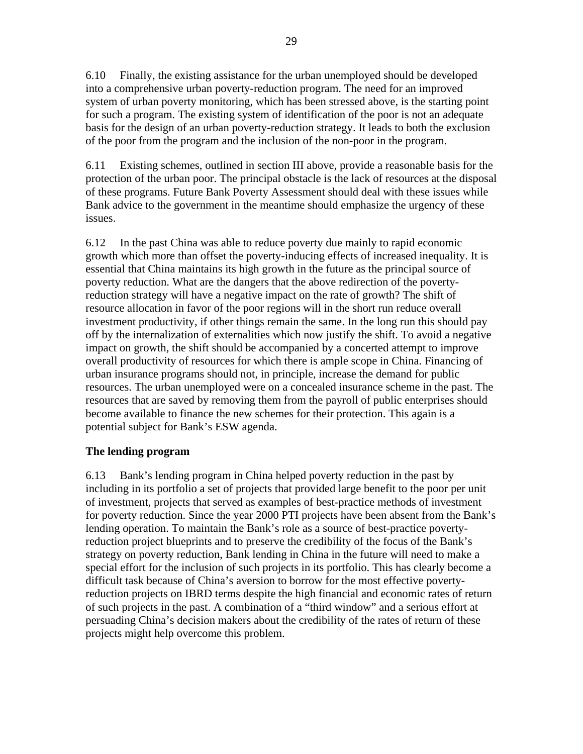6.10 Finally, the existing assistance for the urban unemployed should be developed into a comprehensive urban poverty-reduction program. The need for an improved system of urban poverty monitoring, which has been stressed above, is the starting point for such a program. The existing system of identification of the poor is not an adequate basis for the design of an urban poverty-reduction strategy. It leads to both the exclusion of the poor from the program and the inclusion of the non-poor in the program.

6.11 Existing schemes, outlined in section III above, provide a reasonable basis for the protection of the urban poor. The principal obstacle is the lack of resources at the disposal of these programs. Future Bank Poverty Assessment should deal with these issues while Bank advice to the government in the meantime should emphasize the urgency of these issues.

6.12 In the past China was able to reduce poverty due mainly to rapid economic growth which more than offset the poverty-inducing effects of increased inequality. It is essential that China maintains its high growth in the future as the principal source of poverty reduction. What are the dangers that the above redirection of the povertyreduction strategy will have a negative impact on the rate of growth? The shift of resource allocation in favor of the poor regions will in the short run reduce overall investment productivity, if other things remain the same. In the long run this should pay off by the internalization of externalities which now justify the shift. To avoid a negative impact on growth, the shift should be accompanied by a concerted attempt to improve overall productivity of resources for which there is ample scope in China. Financing of urban insurance programs should not, in principle, increase the demand for public resources. The urban unemployed were on a concealed insurance scheme in the past. The resources that are saved by removing them from the payroll of public enterprises should become available to finance the new schemes for their protection. This again is a potential subject for Bank's ESW agenda.

### **The lending program**

6.13 Bank's lending program in China helped poverty reduction in the past by including in its portfolio a set of projects that provided large benefit to the poor per unit of investment, projects that served as examples of best-practice methods of investment for poverty reduction. Since the year 2000 PTI projects have been absent from the Bank's lending operation. To maintain the Bank's role as a source of best-practice povertyreduction project blueprints and to preserve the credibility of the focus of the Bank's strategy on poverty reduction, Bank lending in China in the future will need to make a special effort for the inclusion of such projects in its portfolio. This has clearly become a difficult task because of China's aversion to borrow for the most effective povertyreduction projects on IBRD terms despite the high financial and economic rates of return of such projects in the past. A combination of a "third window" and a serious effort at persuading China's decision makers about the credibility of the rates of return of these projects might help overcome this problem.